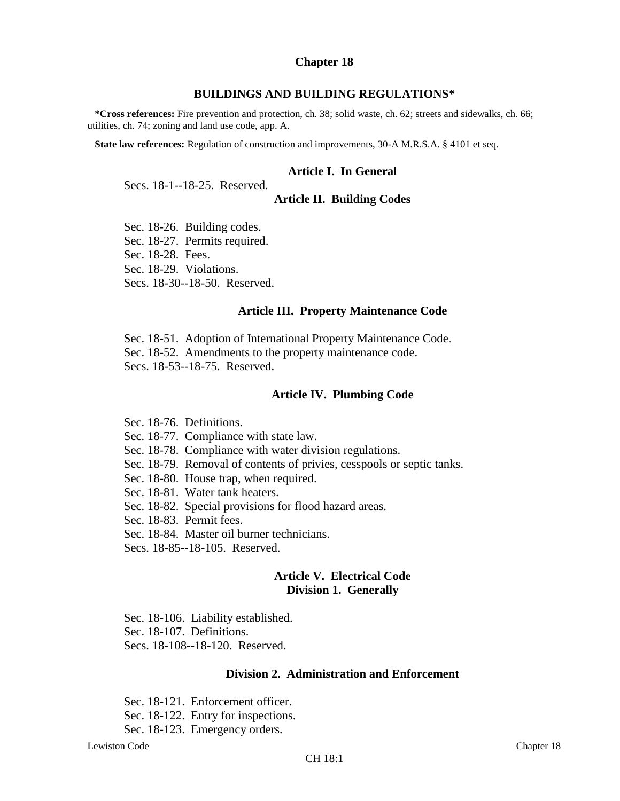#### **Chapter 18**

#### **BUILDINGS AND BUILDING REGULATIONS\***

**\*Cross references:** Fire prevention and protection, ch. 38; solid waste, ch. 62; streets and sidewalks, ch. 66; utilities, ch. 74; zoning and land use code, app. A.

**State law references:** Regulation of construction and improvements, 30-A M.R.S.A. § 4101 et seq.

#### **Article I. In General**

Secs. 18-1--18-25. Reserved.

#### **Article II. Building Codes**

Sec. 18-26. Building codes. Sec. 18-27. Permits required. Sec. 18-28. Fees. Sec. 18-29. Violations. Secs. 18-30--18-50. Reserved.

#### **Article III. Property Maintenance Code**

Sec. 18-51. Adoption of International Property Maintenance Code.

Sec. 18-52. Amendments to the property maintenance code.

Secs. 18-53--18-75. Reserved.

#### **Article IV. Plumbing Code**

Sec. 18-76. Definitions.

- Sec. 18-77. Compliance with state law.
- Sec. 18-78. Compliance with water division regulations.
- Sec. 18-79. Removal of contents of privies, cesspools or septic tanks.
- Sec. 18-80. House trap, when required.
- Sec. 18-81. Water tank heaters.
- Sec. 18-82. Special provisions for flood hazard areas.
- Sec. 18-83. Permit fees.
- Sec. 18-84. Master oil burner technicians.
- Secs. 18-85--18-105. Reserved.

# **Article V. Electrical Code Division 1. Generally**

Sec. 18-106. Liability established. Sec. 18-107. Definitions. Secs. 18-108--18-120. Reserved.

#### **Division 2. Administration and Enforcement**

Sec. 18-121. Enforcement officer. Sec. 18-122. Entry for inspections. Sec. 18-123. Emergency orders.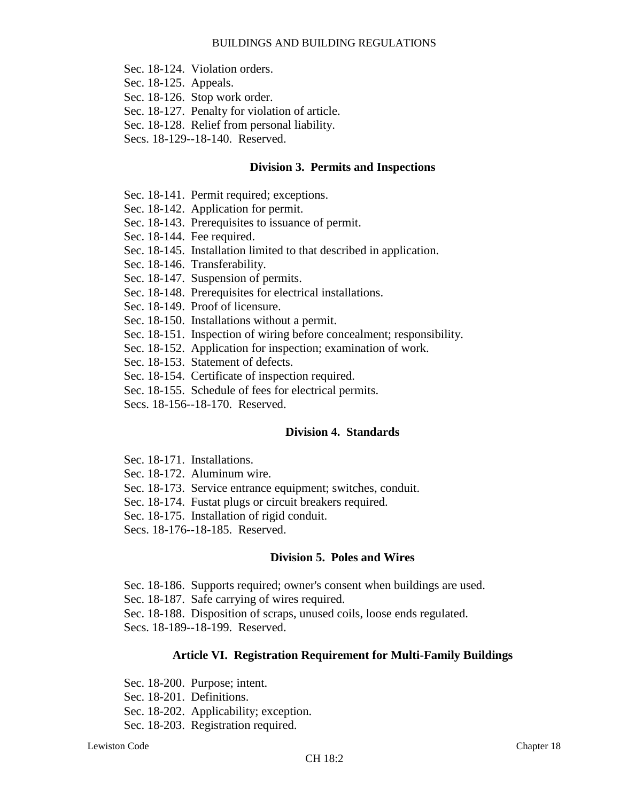- Sec. 18-124. Violation orders.
- Sec. 18-125. Appeals.
- Sec. 18-126. Stop work order.
- Sec. 18-127. Penalty for violation of article.
- Sec. 18-128. Relief from personal liability.
- Secs. 18-129--18-140. Reserved.

#### **Division 3. Permits and Inspections**

- Sec. 18-141. Permit required; exceptions.
- Sec. 18-142. Application for permit.
- Sec. 18-143. Prerequisites to issuance of permit.
- Sec. 18-144. Fee required.
- Sec. 18-145. Installation limited to that described in application.
- Sec. 18-146. Transferability.
- Sec. 18-147. Suspension of permits.
- Sec. 18-148. Prerequisites for electrical installations.
- Sec. 18-149. Proof of licensure.
- Sec. 18-150. Installations without a permit.
- Sec. 18-151. Inspection of wiring before concealment; responsibility.
- Sec. 18-152. Application for inspection; examination of work.
- Sec. 18-153. Statement of defects.
- Sec. 18-154. Certificate of inspection required.
- Sec. 18-155. Schedule of fees for electrical permits.
- Secs. 18-156--18-170. Reserved.

# **Division 4. Standards**

- Sec. 18-171. Installations.
- Sec. 18-172. Aluminum wire.
- Sec. 18-173. Service entrance equipment; switches, conduit.
- Sec. 18-174. Fustat plugs or circuit breakers required.
- Sec. 18-175. Installation of rigid conduit.
- Secs. 18-176--18-185. Reserved.

# **Division 5. Poles and Wires**

- Sec. 18-186. Supports required; owner's consent when buildings are used.
- Sec. 18-187. Safe carrying of wires required.
- Sec. 18-188. Disposition of scraps, unused coils, loose ends regulated.

Secs. 18-189--18-199. Reserved.

# **Article VI. Registration Requirement for Multi-Family Buildings**

Sec. 18-200. Purpose; intent. Sec. 18-201. Definitions. Sec. 18-202. Applicability; exception.

Sec. 18-203. Registration required.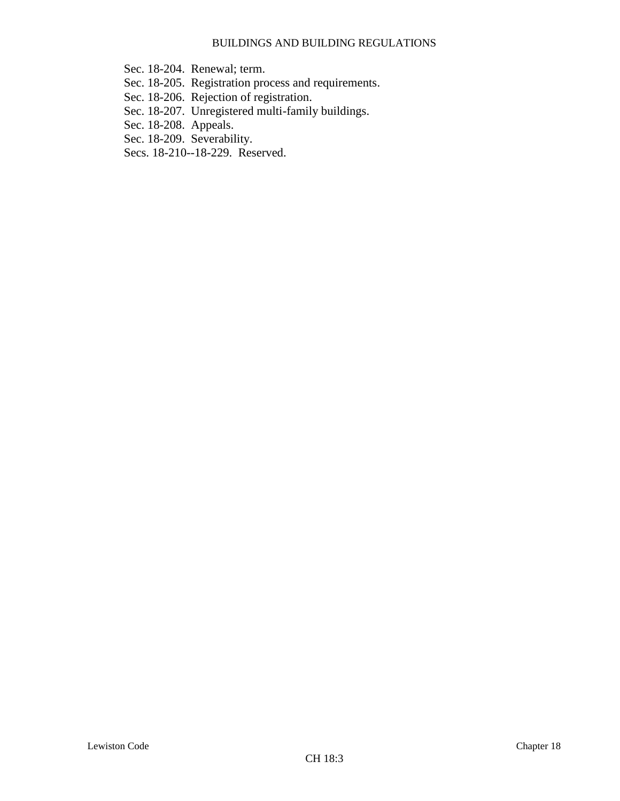- Sec. 18-204. Renewal; term.
- Sec. 18-205. Registration process and requirements.
- Sec. 18-206. Rejection of registration.
- Sec. 18-207. Unregistered multi-family buildings.
- Sec. 18-208. Appeals.
- Sec. 18-209. Severability.
- Secs. 18-210--18-229. Reserved.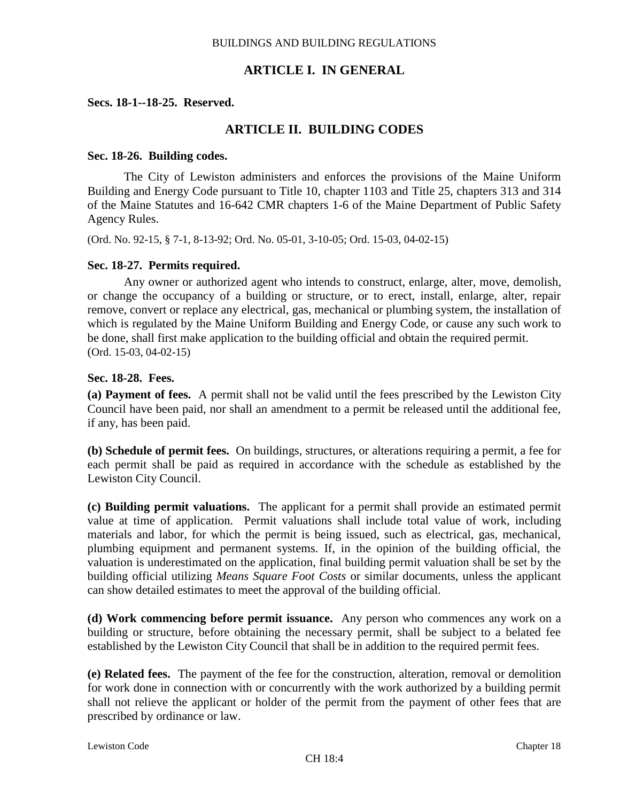# **ARTICLE I. IN GENERAL**

### **Secs. 18-1--18-25. Reserved.**

# **ARTICLE II. BUILDING CODES**

#### **Sec. 18-26. Building codes.**

The City of Lewiston administers and enforces the provisions of the Maine Uniform Building and Energy Code pursuant to Title 10, chapter 1103 and Title 25, chapters 313 and 314 of the Maine Statutes and 16-642 CMR chapters 1-6 of the Maine Department of Public Safety Agency Rules.

(Ord. No. 92-15, § 7-1, 8-13-92; Ord. No. 05-01, 3-10-05; Ord. 15-03, 04-02-15)

#### **Sec. 18-27. Permits required.**

Any owner or authorized agent who intends to construct, enlarge, alter, move, demolish, or change the occupancy of a building or structure, or to erect, install, enlarge, alter, repair remove, convert or replace any electrical, gas, mechanical or plumbing system, the installation of which is regulated by the Maine Uniform Building and Energy Code, or cause any such work to be done, shall first make application to the building official and obtain the required permit. (Ord. 15-03, 04-02-15)

# **Sec. 18-28. Fees.**

**(a) Payment of fees.** A permit shall not be valid until the fees prescribed by the Lewiston City Council have been paid, nor shall an amendment to a permit be released until the additional fee, if any, has been paid.

**(b) Schedule of permit fees.** On buildings, structures, or alterations requiring a permit, a fee for each permit shall be paid as required in accordance with the schedule as established by the Lewiston City Council.

**(c) Building permit valuations.** The applicant for a permit shall provide an estimated permit value at time of application. Permit valuations shall include total value of work, including materials and labor, for which the permit is being issued, such as electrical, gas, mechanical, plumbing equipment and permanent systems. If, in the opinion of the building official, the valuation is underestimated on the application, final building permit valuation shall be set by the building official utilizing *Means Square Foot Costs* or similar documents, unless the applicant can show detailed estimates to meet the approval of the building official.

**(d) Work commencing before permit issuance.** Any person who commences any work on a building or structure, before obtaining the necessary permit, shall be subject to a belated fee established by the Lewiston City Council that shall be in addition to the required permit fees.

**(e) Related fees.** The payment of the fee for the construction, alteration, removal or demolition for work done in connection with or concurrently with the work authorized by a building permit shall not relieve the applicant or holder of the permit from the payment of other fees that are prescribed by ordinance or law.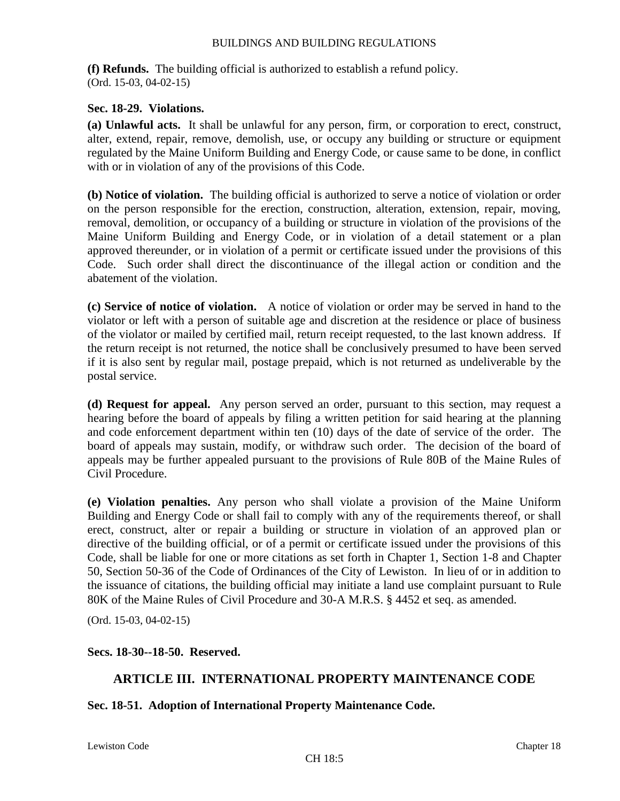**(f) Refunds.** The building official is authorized to establish a refund policy. (Ord. 15-03, 04-02-15)

# **Sec. 18-29. Violations.**

**(a) Unlawful acts.** It shall be unlawful for any person, firm, or corporation to erect, construct, alter, extend, repair, remove, demolish, use, or occupy any building or structure or equipment regulated by the Maine Uniform Building and Energy Code, or cause same to be done, in conflict with or in violation of any of the provisions of this Code.

**(b) Notice of violation.** The building official is authorized to serve a notice of violation or order on the person responsible for the erection, construction, alteration, extension, repair, moving, removal, demolition, or occupancy of a building or structure in violation of the provisions of the Maine Uniform Building and Energy Code, or in violation of a detail statement or a plan approved thereunder, or in violation of a permit or certificate issued under the provisions of this Code. Such order shall direct the discontinuance of the illegal action or condition and the abatement of the violation.

**(c) Service of notice of violation.** A notice of violation or order may be served in hand to the violator or left with a person of suitable age and discretion at the residence or place of business of the violator or mailed by certified mail, return receipt requested, to the last known address. If the return receipt is not returned, the notice shall be conclusively presumed to have been served if it is also sent by regular mail, postage prepaid, which is not returned as undeliverable by the postal service.

**(d) Request for appeal.** Any person served an order, pursuant to this section, may request a hearing before the board of appeals by filing a written petition for said hearing at the planning and code enforcement department within ten (10) days of the date of service of the order. The board of appeals may sustain, modify, or withdraw such order. The decision of the board of appeals may be further appealed pursuant to the provisions of Rule 80B of the Maine Rules of Civil Procedure.

**(e) Violation penalties.** Any person who shall violate a provision of the Maine Uniform Building and Energy Code or shall fail to comply with any of the requirements thereof, or shall erect, construct, alter or repair a building or structure in violation of an approved plan or directive of the building official, or of a permit or certificate issued under the provisions of this Code, shall be liable for one or more citations as set forth in Chapter 1, Section 1-8 and Chapter 50, Section 50-36 of the Code of Ordinances of the City of Lewiston. In lieu of or in addition to the issuance of citations, the building official may initiate a land use complaint pursuant to Rule 80K of the Maine Rules of Civil Procedure and 30-A M.R.S. § 4452 et seq. as amended.

(Ord. 15-03, 04-02-15)

# **Secs. 18-30--18-50. Reserved.**

# **ARTICLE III. INTERNATIONAL PROPERTY MAINTENANCE CODE**

# **Sec. 18-51. Adoption of International Property Maintenance Code.**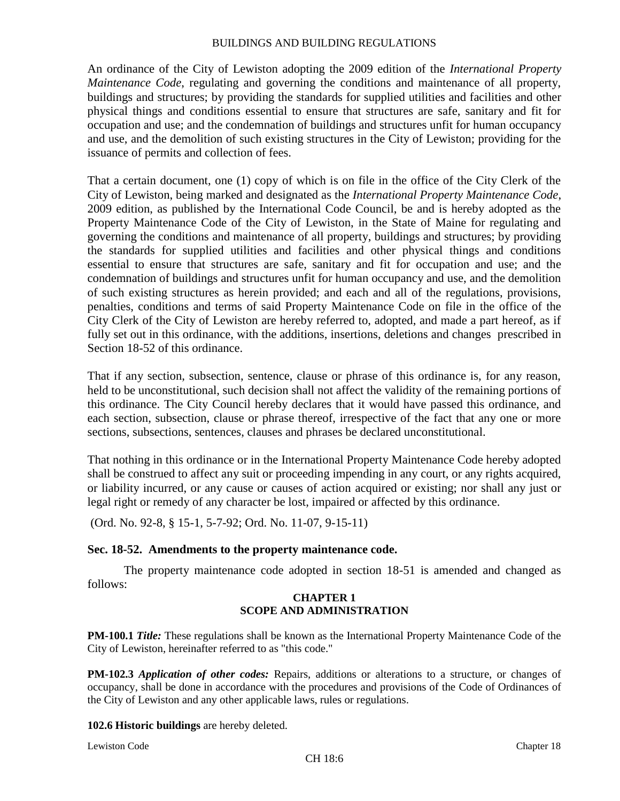An ordinance of the City of Lewiston adopting the 2009 edition of the *International Property Maintenance Code*, regulating and governing the conditions and maintenance of all property, buildings and structures; by providing the standards for supplied utilities and facilities and other physical things and conditions essential to ensure that structures are safe, sanitary and fit for occupation and use; and the condemnation of buildings and structures unfit for human occupancy and use, and the demolition of such existing structures in the City of Lewiston; providing for the issuance of permits and collection of fees.

That a certain document, one (1) copy of which is on file in the office of the City Clerk of the City of Lewiston, being marked and designated as the *International Property Maintenance Code*, 2009 edition, as published by the International Code Council, be and is hereby adopted as the Property Maintenance Code of the City of Lewiston, in the State of Maine for regulating and governing the conditions and maintenance of all property, buildings and structures; by providing the standards for supplied utilities and facilities and other physical things and conditions essential to ensure that structures are safe, sanitary and fit for occupation and use; and the condemnation of buildings and structures unfit for human occupancy and use, and the demolition of such existing structures as herein provided; and each and all of the regulations, provisions, penalties, conditions and terms of said Property Maintenance Code on file in the office of the City Clerk of the City of Lewiston are hereby referred to, adopted, and made a part hereof, as if fully set out in this ordinance, with the additions, insertions, deletions and changes prescribed in Section 18-52 of this ordinance.

That if any section, subsection, sentence, clause or phrase of this ordinance is, for any reason, held to be unconstitutional, such decision shall not affect the validity of the remaining portions of this ordinance. The City Council hereby declares that it would have passed this ordinance, and each section, subsection, clause or phrase thereof, irrespective of the fact that any one or more sections, subsections, sentences, clauses and phrases be declared unconstitutional.

That nothing in this ordinance or in the International Property Maintenance Code hereby adopted shall be construed to affect any suit or proceeding impending in any court, or any rights acquired, or liability incurred, or any cause or causes of action acquired or existing; nor shall any just or legal right or remedy of any character be lost, impaired or affected by this ordinance.

(Ord. No. 92-8, § 15-1, 5-7-92; Ord. No. 11-07, 9-15-11)

# **Sec. 18-52. Amendments to the property maintenance code.**

The property maintenance code adopted in section 18-51 is amended and changed as follows:

## **CHAPTER 1 SCOPE AND ADMINISTRATION**

**PM-100.1** *Title:* These regulations shall be known as the International Property Maintenance Code of the City of Lewiston, hereinafter referred to as "this code."

**PM-102.3** *Application of other codes:* Repairs, additions or alterations to a structure, or changes of occupancy, shall be done in accordance with the procedures and provisions of the Code of Ordinances of the City of Lewiston and any other applicable laws, rules or regulations.

**102.6 Historic buildings** are hereby deleted.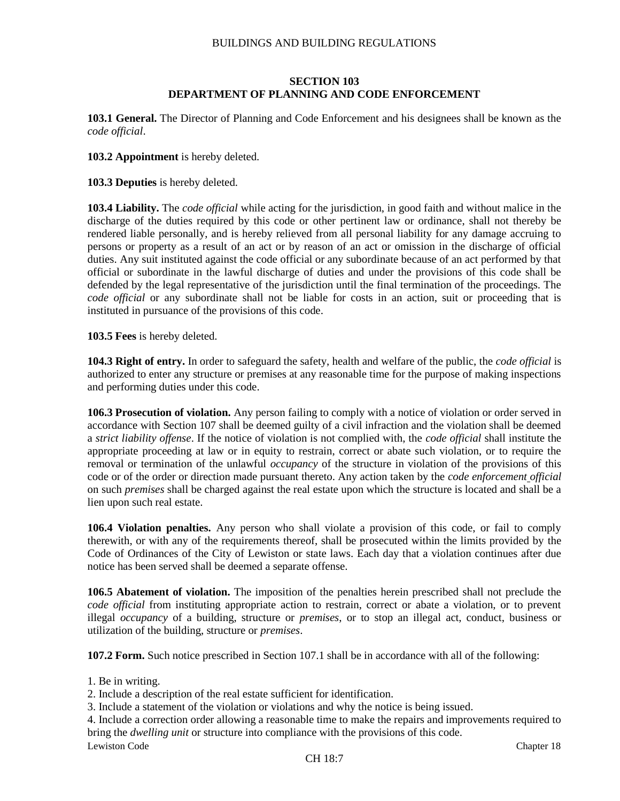#### **SECTION 103 DEPARTMENT OF PLANNING AND CODE ENFORCEMENT**

**103.1 General.** The Director of Planning and Code Enforcement and his designees shall be known as the *code official*.

**103.2 Appointment** is hereby deleted.

**103.3 Deputies** is hereby deleted.

**103.4 Liability.** The *code official* while acting for the jurisdiction, in good faith and without malice in the discharge of the duties required by this code or other pertinent law or ordinance, shall not thereby be rendered liable personally, and is hereby relieved from all personal liability for any damage accruing to persons or property as a result of an act or by reason of an act or omission in the discharge of official duties. Any suit instituted against the code official or any subordinate because of an act performed by that official or subordinate in the lawful discharge of duties and under the provisions of this code shall be defended by the legal representative of the jurisdiction until the final termination of the proceedings. The *code official* or any subordinate shall not be liable for costs in an action, suit or proceeding that is instituted in pursuance of the provisions of this code.

**103.5 Fees** is hereby deleted.

**104.3 Right of entry.** In order to safeguard the safety, health and welfare of the public, the *code official* is authorized to enter any structure or premises at any reasonable time for the purpose of making inspections and performing duties under this code.

**106.3 Prosecution of violation.** Any person failing to comply with a notice of violation or order served in accordance with Section 107 shall be deemed guilty of a civil infraction and the violation shall be deemed a *strict liability offense*. If the notice of violation is not complied with, the *code official* shall institute the appropriate proceeding at law or in equity to restrain, correct or abate such violation, or to require the removal or termination of the unlawful *occupancy* of the structure in violation of the provisions of this code or of the order or direction made pursuant thereto. Any action taken by the *code enforcement official* on such *premises* shall be charged against the real estate upon which the structure is located and shall be a lien upon such real estate.

**106.4 Violation penalties.** Any person who shall violate a provision of this code, or fail to comply therewith, or with any of the requirements thereof, shall be prosecuted within the limits provided by the Code of Ordinances of the City of Lewiston or state laws. Each day that a violation continues after due notice has been served shall be deemed a separate offense.

**106.5 Abatement of violation.** The imposition of the penalties herein prescribed shall not preclude the *code official* from instituting appropriate action to restrain, correct or abate a violation, or to prevent illegal *occupancy* of a building, structure or *premises*, or to stop an illegal act, conduct, business or utilization of the building, structure or *premises*.

**107.2 Form.** Such notice prescribed in Section 107.1 shall be in accordance with all of the following:

1. Be in writing.

2. Include a description of the real estate sufficient for identification.

3. Include a statement of the violation or violations and why the notice is being issued.

4. Include a correction order allowing a reasonable time to make the repairs and improvements required to bring the *dwelling unit* or structure into compliance with the provisions of this code.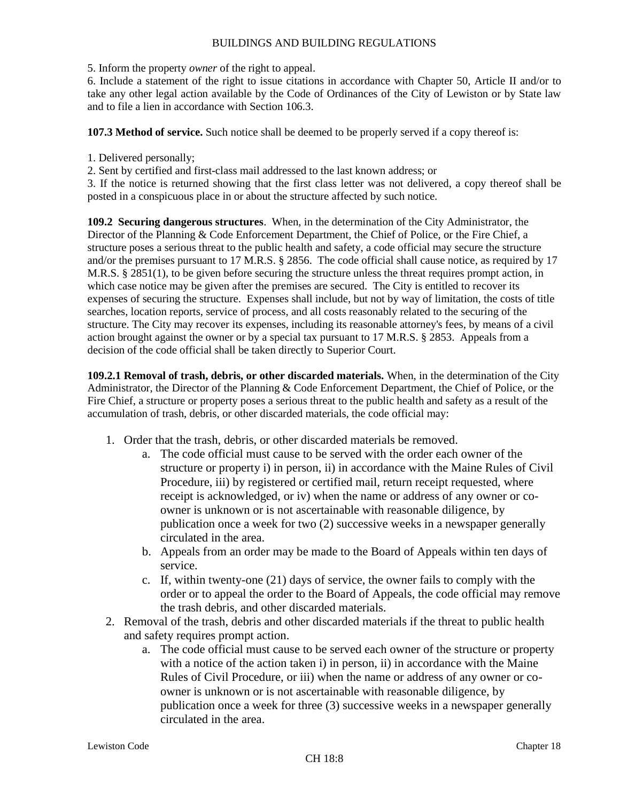5. Inform the property *owner* of the right to appeal.

6. Include a statement of the right to issue citations in accordance with Chapter 50, Article II and/or to take any other legal action available by the Code of Ordinances of the City of Lewiston or by State law and to file a lien in accordance with Section 106.3.

**107.3 Method of service.** Such notice shall be deemed to be properly served if a copy thereof is:

1. Delivered personally;

2. Sent by certified and first-class mail addressed to the last known address; or

3. If the notice is returned showing that the first class letter was not delivered, a copy thereof shall be posted in a conspicuous place in or about the structure affected by such notice.

**109.2 Securing dangerous structures**. When, in the determination of the City Administrator, the Director of the Planning & Code Enforcement Department, the Chief of Police, or the Fire Chief, a structure poses a serious threat to the public health and safety, a code official may secure the structure and/or the premises pursuant to 17 M.R.S. § 2856. The code official shall cause notice, as required by 17 M.R.S. § 2851(1), to be given before securing the structure unless the threat requires prompt action, in which case notice may be given after the premises are secured. The City is entitled to recover its expenses of securing the structure. Expenses shall include, but not by way of limitation, the costs of title searches, location reports, service of process, and all costs reasonably related to the securing of the structure. The City may recover its expenses, including its reasonable attorney's fees, by means of a civil action brought against the owner or by a special tax pursuant to 17 M.R.S. § 2853. Appeals from a decision of the code official shall be taken directly to Superior Court.

**109.2.1 Removal of trash, debris, or other discarded materials.** When, in the determination of the City Administrator, the Director of the Planning & Code Enforcement Department, the Chief of Police, or the Fire Chief, a structure or property poses a serious threat to the public health and safety as a result of the accumulation of trash, debris, or other discarded materials, the code official may:

- 1. Order that the trash, debris, or other discarded materials be removed.
	- a. The code official must cause to be served with the order each owner of the structure or property i) in person, ii) in accordance with the Maine Rules of Civil Procedure, iii) by registered or certified mail, return receipt requested, where receipt is acknowledged, or iv) when the name or address of any owner or coowner is unknown or is not ascertainable with reasonable diligence, by publication once a week for two (2) successive weeks in a newspaper generally circulated in the area.
	- b. Appeals from an order may be made to the Board of Appeals within ten days of service.
	- c. If, within twenty-one (21) days of service, the owner fails to comply with the order or to appeal the order to the Board of Appeals, the code official may remove the trash debris, and other discarded materials.
- 2. Removal of the trash, debris and other discarded materials if the threat to public health and safety requires prompt action.
	- a. The code official must cause to be served each owner of the structure or property with a notice of the action taken i) in person, ii) in accordance with the Maine Rules of Civil Procedure, or iii) when the name or address of any owner or coowner is unknown or is not ascertainable with reasonable diligence, by publication once a week for three (3) successive weeks in a newspaper generally circulated in the area.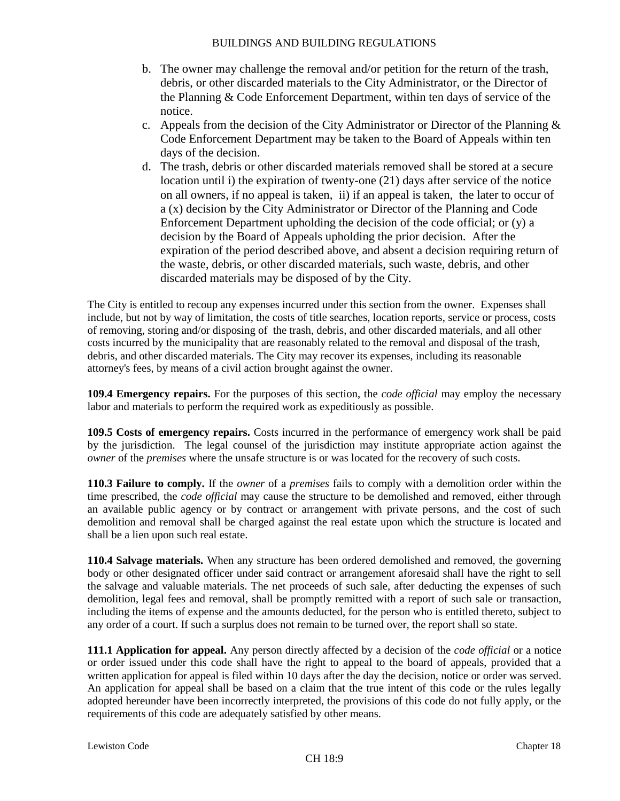- b. The owner may challenge the removal and/or petition for the return of the trash, debris, or other discarded materials to the City Administrator, or the Director of the Planning & Code Enforcement Department, within ten days of service of the notice.
- c. Appeals from the decision of the City Administrator or Director of the Planning & Code Enforcement Department may be taken to the Board of Appeals within ten days of the decision.
- d. The trash, debris or other discarded materials removed shall be stored at a secure location until i) the expiration of twenty-one (21) days after service of the notice on all owners, if no appeal is taken, ii) if an appeal is taken, the later to occur of a (x) decision by the City Administrator or Director of the Planning and Code Enforcement Department upholding the decision of the code official; or (y) a decision by the Board of Appeals upholding the prior decision. After the expiration of the period described above, and absent a decision requiring return of the waste, debris, or other discarded materials, such waste, debris, and other discarded materials may be disposed of by the City.

The City is entitled to recoup any expenses incurred under this section from the owner. Expenses shall include, but not by way of limitation, the costs of title searches, location reports, service or process, costs of removing, storing and/or disposing of the trash, debris, and other discarded materials, and all other costs incurred by the municipality that are reasonably related to the removal and disposal of the trash, debris, and other discarded materials. The City may recover its expenses, including its reasonable attorney's fees, by means of a civil action brought against the owner.

**109.4 Emergency repairs.** For the purposes of this section, the *code official* may employ the necessary labor and materials to perform the required work as expeditiously as possible.

**109.5 Costs of emergency repairs.** Costs incurred in the performance of emergency work shall be paid by the jurisdiction. The legal counsel of the jurisdiction may institute appropriate action against the *owner* of the *premises* where the unsafe structure is or was located for the recovery of such costs.

**110.3 Failure to comply.** If the *owner* of a *premises* fails to comply with a demolition order within the time prescribed, the *code official* may cause the structure to be demolished and removed, either through an available public agency or by contract or arrangement with private persons, and the cost of such demolition and removal shall be charged against the real estate upon which the structure is located and shall be a lien upon such real estate.

**110.4 Salvage materials.** When any structure has been ordered demolished and removed, the governing body or other designated officer under said contract or arrangement aforesaid shall have the right to sell the salvage and valuable materials. The net proceeds of such sale, after deducting the expenses of such demolition, legal fees and removal, shall be promptly remitted with a report of such sale or transaction, including the items of expense and the amounts deducted, for the person who is entitled thereto, subject to any order of a court. If such a surplus does not remain to be turned over, the report shall so state.

**111.1 Application for appeal.** Any person directly affected by a decision of the *code official* or a notice or order issued under this code shall have the right to appeal to the board of appeals, provided that a written application for appeal is filed within 10 days after the day the decision, notice or order was served. An application for appeal shall be based on a claim that the true intent of this code or the rules legally adopted hereunder have been incorrectly interpreted, the provisions of this code do not fully apply, or the requirements of this code are adequately satisfied by other means.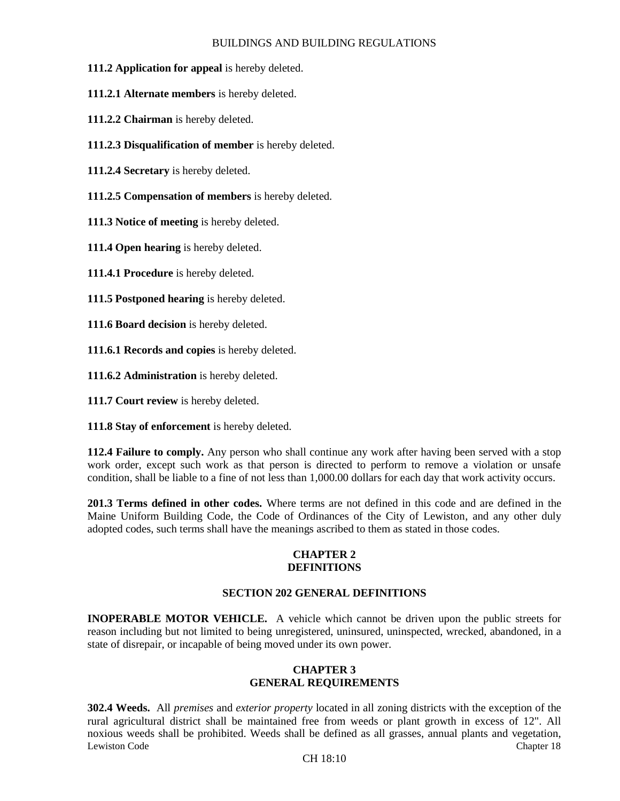- **111.2 Application for appeal** is hereby deleted.
- **111.2.1 Alternate members** is hereby deleted.
- **111.2.2 Chairman** is hereby deleted.
- **111.2.3 Disqualification of member** is hereby deleted.
- **111.2.4 Secretary** is hereby deleted.
- **111.2.5 Compensation of members** is hereby deleted.
- **111.3 Notice of meeting** is hereby deleted.
- **111.4 Open hearing** is hereby deleted.

**111.4.1 Procedure** is hereby deleted.

- **111.5 Postponed hearing** is hereby deleted.
- **111.6 Board decision** is hereby deleted.
- **111.6.1 Records and copies** is hereby deleted.
- **111.6.2 Administration** is hereby deleted.
- **111.7 Court review** is hereby deleted.
- **111.8 Stay of enforcement** is hereby deleted.

**112.4 Failure to comply.** Any person who shall continue any work after having been served with a stop work order, except such work as that person is directed to perform to remove a violation or unsafe condition, shall be liable to a fine of not less than 1,000.00 dollars for each day that work activity occurs.

**201.3 Terms defined in other codes.** Where terms are not defined in this code and are defined in the Maine Uniform Building Code, the Code of Ordinances of the City of Lewiston, and any other duly adopted codes, such terms shall have the meanings ascribed to them as stated in those codes.

#### **CHAPTER 2 DEFINITIONS**

#### **SECTION 202 GENERAL DEFINITIONS**

**INOPERABLE MOTOR VEHICLE.** A vehicle which cannot be driven upon the public streets for reason including but not limited to being unregistered, uninsured, uninspected, wrecked, abandoned, in a state of disrepair, or incapable of being moved under its own power.

#### **CHAPTER 3 GENERAL REQUIREMENTS**

Lewiston Code Chapter 18 Chapter 18 Chapter 18 Chapter 18 Chapter 18 Chapter 18 Chapter 18 Chapter 18 Chapter 18 **302.4 Weeds.** All *premises* and *exterior property* located in all zoning districts with the exception of the rural agricultural district shall be maintained free from weeds or plant growth in excess of 12". All noxious weeds shall be prohibited. Weeds shall be defined as all grasses, annual plants and vegetation,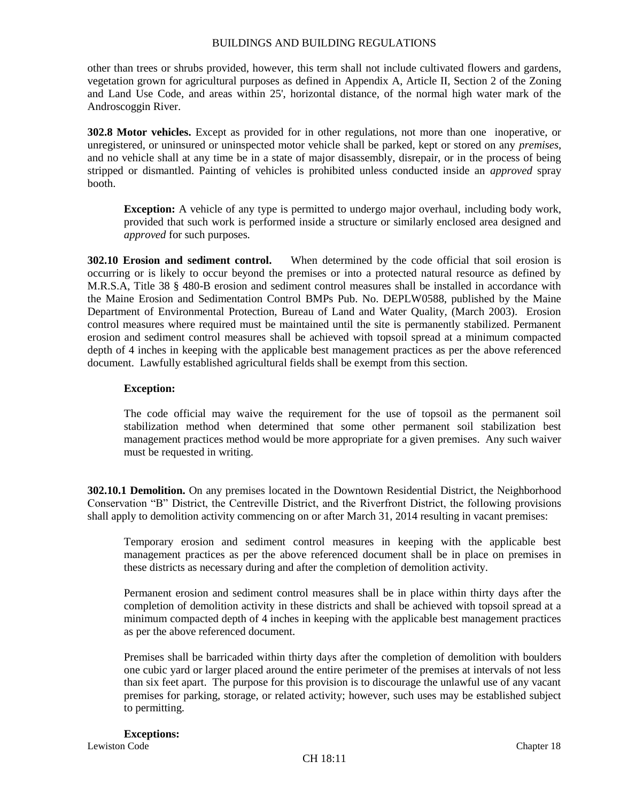other than trees or shrubs provided, however, this term shall not include cultivated flowers and gardens, vegetation grown for agricultural purposes as defined in Appendix A, Article II, Section 2 of the Zoning and Land Use Code, and areas within 25', horizontal distance, of the normal high water mark of the Androscoggin River.

**302.8 Motor vehicles.** Except as provided for in other regulations, not more than one inoperative, or unregistered, or uninsured or uninspected motor vehicle shall be parked, kept or stored on any *premises*, and no vehicle shall at any time be in a state of major disassembly, disrepair, or in the process of being stripped or dismantled. Painting of vehicles is prohibited unless conducted inside an *approved* spray booth.

**Exception:** A vehicle of any type is permitted to undergo major overhaul, including body work, provided that such work is performed inside a structure or similarly enclosed area designed and *approved* for such purposes.

**302.10 Erosion and sediment control.** When determined by the code official that soil erosion is occurring or is likely to occur beyond the premises or into a protected natural resource as defined by M.R.S.A, Title 38 § 480-B erosion and sediment control measures shall be installed in accordance with the Maine Erosion and Sedimentation Control BMPs Pub. No. DEPLW0588, published by the Maine Department of Environmental Protection, Bureau of Land and Water Quality, (March 2003). Erosion control measures where required must be maintained until the site is permanently stabilized. Permanent erosion and sediment control measures shall be achieved with topsoil spread at a minimum compacted depth of 4 inches in keeping with the applicable best management practices as per the above referenced document. Lawfully established agricultural fields shall be exempt from this section.

#### **Exception:**

The code official may waive the requirement for the use of topsoil as the permanent soil stabilization method when determined that some other permanent soil stabilization best management practices method would be more appropriate for a given premises. Any such waiver must be requested in writing.

**302.10.1 Demolition.** On any premises located in the Downtown Residential District, the Neighborhood Conservation "B" District, the Centreville District, and the Riverfront District, the following provisions shall apply to demolition activity commencing on or after March 31, 2014 resulting in vacant premises:

Temporary erosion and sediment control measures in keeping with the applicable best management practices as per the above referenced document shall be in place on premises in these districts as necessary during and after the completion of demolition activity.

Permanent erosion and sediment control measures shall be in place within thirty days after the completion of demolition activity in these districts and shall be achieved with topsoil spread at a minimum compacted depth of 4 inches in keeping with the applicable best management practices as per the above referenced document.

Premises shall be barricaded within thirty days after the completion of demolition with boulders one cubic yard or larger placed around the entire perimeter of the premises at intervals of not less than six feet apart. The purpose for this provision is to discourage the unlawful use of any vacant premises for parking, storage, or related activity; however, such uses may be established subject to permitting.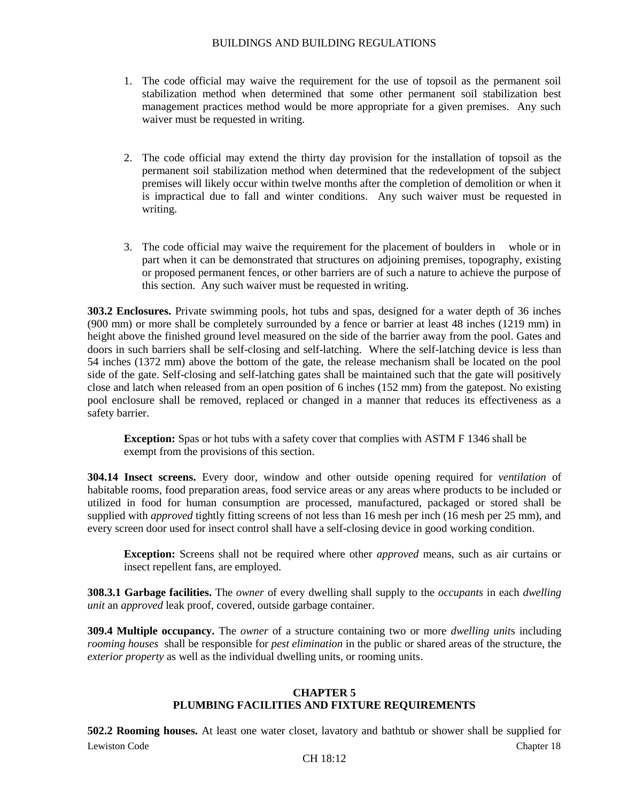- 1. The code official may waive the requirement for the use of topsoil as the permanent soil stabilization method when determined that some other permanent soil stabilization best management practices method would be more appropriate for a given premises. Any such waiver must be requested in writing.
- 2. The code official may extend the thirty day provision for the installation of topsoil as the permanent soil stabilization method when determined that the redevelopment of the subject premises will likely occur within twelve months after the completion of demolition or when it is impractical due to fall and winter conditions. Any such waiver must be requested in writing.
- 3. The code official may waive the requirement for the placement of boulders in whole or in part when it can be demonstrated that structures on adjoining premises, topography, existing or proposed permanent fences, or other barriers are of such a nature to achieve the purpose of this section. Any such waiver must be requested in writing.

**303.2 Enclosures.** Private swimming pools, hot tubs and spas, designed for a water depth of 36 inches (900 mm) or more shall be completely surrounded by a fence or barrier at least 48 inches (1219 mm) in height above the finished ground level measured on the side of the barrier away from the pool. Gates and doors in such barriers shall be self-closing and self-latching. Where the self-latching device is less than 54 inches (1372 mm) above the bottom of the gate, the release mechanism shall be located on the pool side of the gate. Self-closing and self-latching gates shall be maintained such that the gate will positively close and latch when released from an open position of 6 inches (152 mm) from the gatepost. No existing pool enclosure shall be removed, replaced or changed in a manner that reduces its effectiveness as a safety barrier.

**Exception:** Spas or hot tubs with a safety cover that complies with ASTM F 1346 shall be exempt from the provisions of this section.

**304.14 Insect screens.** Every door, window and other outside opening required for *ventilation* of habitable rooms, food preparation areas, food service areas or any areas where products to be included or utilized in food for human consumption are processed, manufactured, packaged or stored shall be supplied with *approved* tightly fitting screens of not less than 16 mesh per inch (16 mesh per 25 mm), and every screen door used for insect control shall have a self-closing device in good working condition.

**Exception:** Screens shall not be required where other *approved* means, such as air curtains or insect repellent fans, are employed.

**308.3.1 Garbage facilities.** The *owner* of every dwelling shall supply to the *occupants* in each *dwelling unit* an *approved* leak proof, covered, outside garbage container.

**309.4 Multiple occupancy.** The *owner* of a structure containing two or more *dwelling unit*s including *rooming houses* shall be responsible for *pest elimination* in the public or shared areas of the structure, the *exterior property* as well as the individual dwelling units, or rooming units.

#### **CHAPTER 5 PLUMBING FACILITIES AND FIXTURE REQUIREMENTS**

Lewiston Code Chapter 18 Chapter 18 Chapter 18 Chapter 18 Chapter 18 Chapter 18 Chapter 18 Chapter 18 Chapter 18 **502.2 Rooming houses.** At least one water closet, lavatory and bathtub or shower shall be supplied for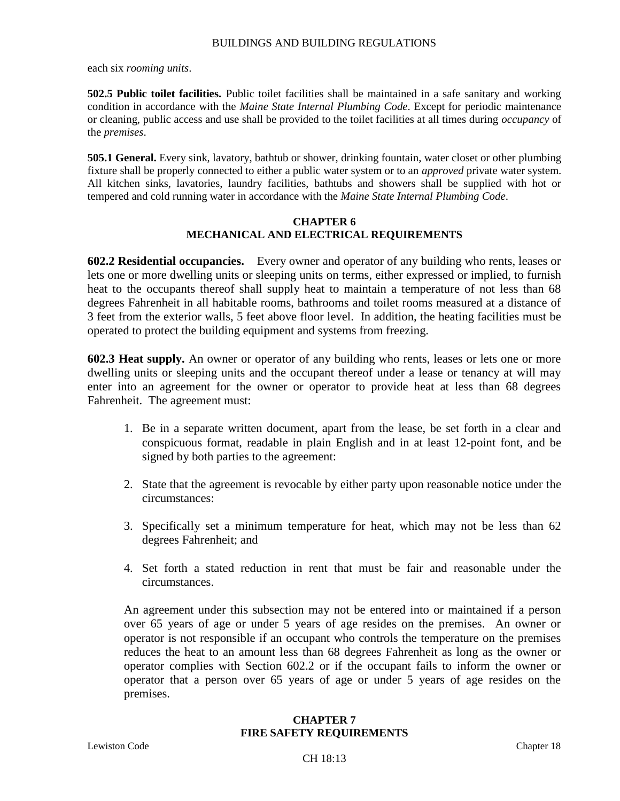each six *rooming units*.

**502.5 Public toilet facilities.** Public toilet facilities shall be maintained in a safe sanitary and working condition in accordance with the *Maine State Internal Plumbing Code*. Except for periodic maintenance or cleaning, public access and use shall be provided to the toilet facilities at all times during *occupancy* of the *premises*.

**505.1 General.** Every sink, lavatory, bathtub or shower, drinking fountain, water closet or other plumbing fixture shall be properly connected to either a public water system or to an *approved* private water system. All kitchen sinks, lavatories, laundry facilities, bathtubs and showers shall be supplied with hot or tempered and cold running water in accordance with the *Maine State Internal Plumbing Code*.

#### **CHAPTER 6 MECHANICAL AND ELECTRICAL REQUIREMENTS**

**602.2 Residential occupancies.** Every owner and operator of any building who rents, leases or lets one or more dwelling units or sleeping units on terms, either expressed or implied, to furnish heat to the occupants thereof shall supply heat to maintain a temperature of not less than 68 degrees Fahrenheit in all habitable rooms, bathrooms and toilet rooms measured at a distance of 3 feet from the exterior walls, 5 feet above floor level. In addition, the heating facilities must be operated to protect the building equipment and systems from freezing.

**602.3 Heat supply.** An owner or operator of any building who rents, leases or lets one or more dwelling units or sleeping units and the occupant thereof under a lease or tenancy at will may enter into an agreement for the owner or operator to provide heat at less than 68 degrees Fahrenheit. The agreement must:

- 1. Be in a separate written document, apart from the lease, be set forth in a clear and conspicuous format, readable in plain English and in at least 12-point font, and be signed by both parties to the agreement:
- 2. State that the agreement is revocable by either party upon reasonable notice under the circumstances:
- 3. Specifically set a minimum temperature for heat, which may not be less than 62 degrees Fahrenheit; and
- 4. Set forth a stated reduction in rent that must be fair and reasonable under the circumstances.

An agreement under this subsection may not be entered into or maintained if a person over 65 years of age or under 5 years of age resides on the premises. An owner or operator is not responsible if an occupant who controls the temperature on the premises reduces the heat to an amount less than 68 degrees Fahrenheit as long as the owner or operator complies with Section 602.2 or if the occupant fails to inform the owner or operator that a person over 65 years of age or under 5 years of age resides on the premises.

# **CHAPTER 7 FIRE SAFETY REQUIREMENTS**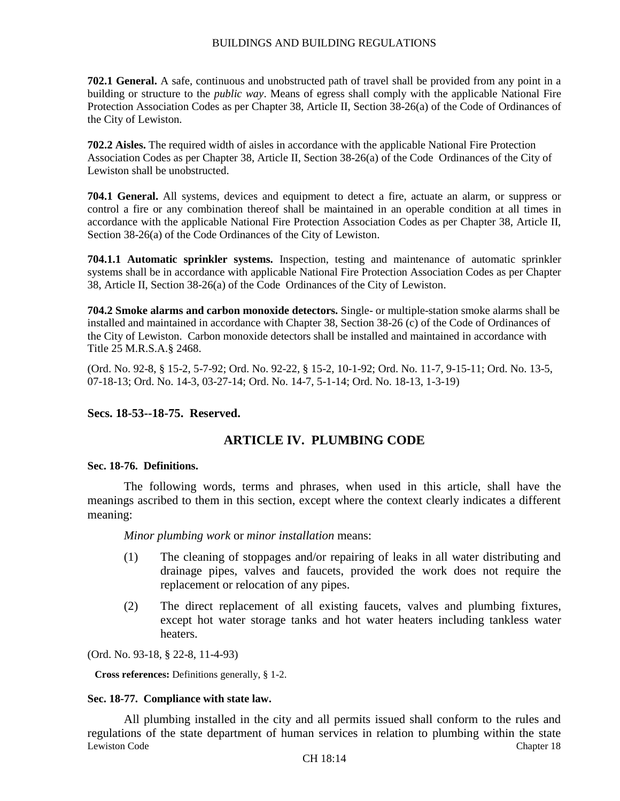**702.1 General.** A safe, continuous and unobstructed path of travel shall be provided from any point in a building or structure to the *public way*. Means of egress shall comply with the applicable National Fire Protection Association Codes as per Chapter 38, Article II, Section 38-26(a) of the Code of Ordinances of the City of Lewiston*.*

**702.2 Aisles.** The required width of aisles in accordance with the applicable National Fire Protection Association Codes as per Chapter 38, Article II, Section 38-26(a) of the Code Ordinances of the City of Lewiston shall be unobstructed.

**704.1 General.** All systems, devices and equipment to detect a fire, actuate an alarm, or suppress or control a fire or any combination thereof shall be maintained in an operable condition at all times in accordance with the applicable National Fire Protection Association Codes as per Chapter 38, Article II, Section 38-26(a) of the Code Ordinances of the City of Lewiston.

**704.1.1 Automatic sprinkler systems.** Inspection, testing and maintenance of automatic sprinkler systems shall be in accordance with applicable National Fire Protection Association Codes as per Chapter 38, Article II, Section 38-26(a) of the Code Ordinances of the City of Lewiston.

**704.2 Smoke alarms and carbon monoxide detectors.** Single- or multiple-station smoke alarms shall be installed and maintained in accordance with Chapter 38, Section 38-26 (c) of the Code of Ordinances of the City of Lewiston. Carbon monoxide detectors shall be installed and maintained in accordance with Title 25 M.R.S.A.§ 2468.

(Ord. No. 92-8, § 15-2, 5-7-92; Ord. No. 92-22, § 15-2, 10-1-92; Ord. No. 11-7, 9-15-11; Ord. No. 13-5, 07-18-13; Ord. No. 14-3, 03-27-14; Ord. No. 14-7, 5-1-14; Ord. No. 18-13, 1-3-19)

### **Secs. 18-53--18-75. Reserved.**

# **ARTICLE IV. PLUMBING CODE**

#### **Sec. 18-76. Definitions.**

The following words, terms and phrases, when used in this article, shall have the meanings ascribed to them in this section, except where the context clearly indicates a different meaning:

*Minor plumbing work* or *minor installation* means:

- (1) The cleaning of stoppages and/or repairing of leaks in all water distributing and drainage pipes, valves and faucets, provided the work does not require the replacement or relocation of any pipes.
- (2) The direct replacement of all existing faucets, valves and plumbing fixtures, except hot water storage tanks and hot water heaters including tankless water heaters.

(Ord. No. 93-18, § 22-8, 11-4-93)

**Cross references:** Definitions generally, § 1-2.

#### **Sec. 18-77. Compliance with state law.**

Lewiston Code Chapter 18 Chapter 18 Chapter 18 Chapter 18 Chapter 18 Chapter 18 Chapter 18 Chapter 18 Chapter 18 All plumbing installed in the city and all permits issued shall conform to the rules and regulations of the state department of human services in relation to plumbing within the state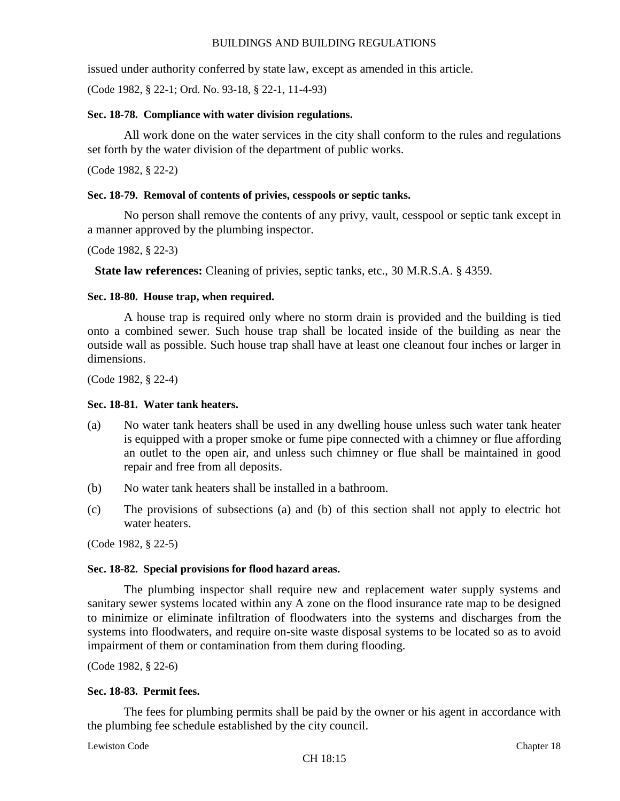issued under authority conferred by state law, except as amended in this article.

(Code 1982, § 22-1; Ord. No. 93-18, § 22-1, 11-4-93)

#### **Sec. 18-78. Compliance with water division regulations.**

All work done on the water services in the city shall conform to the rules and regulations set forth by the water division of the department of public works.

(Code 1982, § 22-2)

# **Sec. 18-79. Removal of contents of privies, cesspools or septic tanks.**

No person shall remove the contents of any privy, vault, cesspool or septic tank except in a manner approved by the plumbing inspector.

(Code 1982, § 22-3)

**State law references:** Cleaning of privies, septic tanks, etc., 30 M.R.S.A. § 4359.

# **Sec. 18-80. House trap, when required.**

A house trap is required only where no storm drain is provided and the building is tied onto a combined sewer. Such house trap shall be located inside of the building as near the outside wall as possible. Such house trap shall have at least one cleanout four inches or larger in dimensions.

(Code 1982, § 22-4)

#### **Sec. 18-81. Water tank heaters.**

- (a) No water tank heaters shall be used in any dwelling house unless such water tank heater is equipped with a proper smoke or fume pipe connected with a chimney or flue affording an outlet to the open air, and unless such chimney or flue shall be maintained in good repair and free from all deposits.
- (b) No water tank heaters shall be installed in a bathroom.
- (c) The provisions of subsections (a) and (b) of this section shall not apply to electric hot water heaters.

(Code 1982, § 22-5)

#### **Sec. 18-82. Special provisions for flood hazard areas.**

The plumbing inspector shall require new and replacement water supply systems and sanitary sewer systems located within any A zone on the flood insurance rate map to be designed to minimize or eliminate infiltration of floodwaters into the systems and discharges from the systems into floodwaters, and require on-site waste disposal systems to be located so as to avoid impairment of them or contamination from them during flooding.

(Code 1982, § 22-6)

#### **Sec. 18-83. Permit fees.**

The fees for plumbing permits shall be paid by the owner or his agent in accordance with the plumbing fee schedule established by the city council.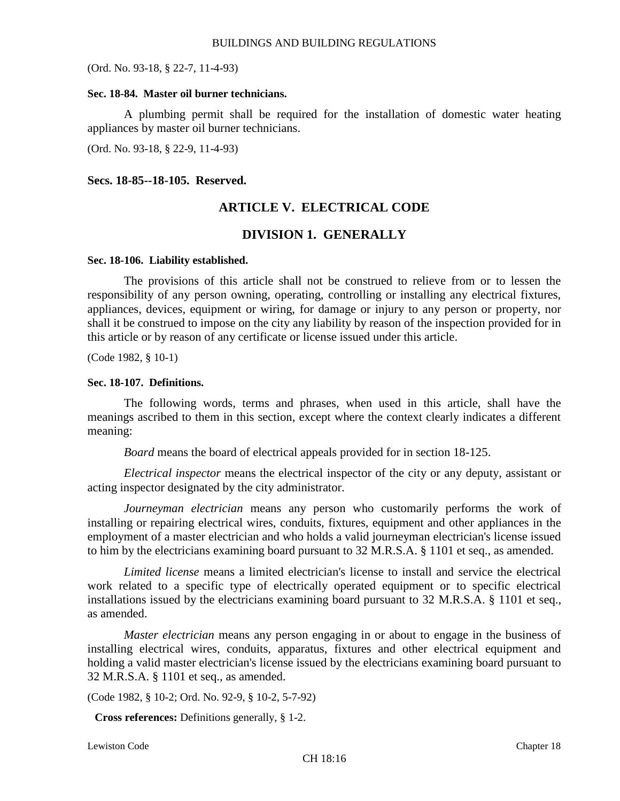(Ord. No. 93-18, § 22-7, 11-4-93)

#### **Sec. 18-84. Master oil burner technicians.**

A plumbing permit shall be required for the installation of domestic water heating appliances by master oil burner technicians.

(Ord. No. 93-18, § 22-9, 11-4-93)

### **Secs. 18-85--18-105. Reserved.**

# **ARTICLE V. ELECTRICAL CODE**

# **DIVISION 1. GENERALLY**

#### **Sec. 18-106. Liability established.**

The provisions of this article shall not be construed to relieve from or to lessen the responsibility of any person owning, operating, controlling or installing any electrical fixtures, appliances, devices, equipment or wiring, for damage or injury to any person or property, nor shall it be construed to impose on the city any liability by reason of the inspection provided for in this article or by reason of any certificate or license issued under this article.

(Code 1982, § 10-1)

#### **Sec. 18-107. Definitions.**

The following words, terms and phrases, when used in this article, shall have the meanings ascribed to them in this section, except where the context clearly indicates a different meaning:

*Board* means the board of electrical appeals provided for in section 18-125.

*Electrical inspector* means the electrical inspector of the city or any deputy, assistant or acting inspector designated by the city administrator.

*Journeyman electrician* means any person who customarily performs the work of installing or repairing electrical wires, conduits, fixtures, equipment and other appliances in the employment of a master electrician and who holds a valid journeyman electrician's license issued to him by the electricians examining board pursuant to 32 M.R.S.A. § 1101 et seq., as amended.

*Limited license* means a limited electrician's license to install and service the electrical work related to a specific type of electrically operated equipment or to specific electrical installations issued by the electricians examining board pursuant to 32 M.R.S.A. § 1101 et seq., as amended.

*Master electrician* means any person engaging in or about to engage in the business of installing electrical wires, conduits, apparatus, fixtures and other electrical equipment and holding a valid master electrician's license issued by the electricians examining board pursuant to 32 M.R.S.A. § 1101 et seq., as amended.

(Code 1982, § 10-2; Ord. No. 92-9, § 10-2, 5-7-92)

**Cross references:** Definitions generally, § 1-2.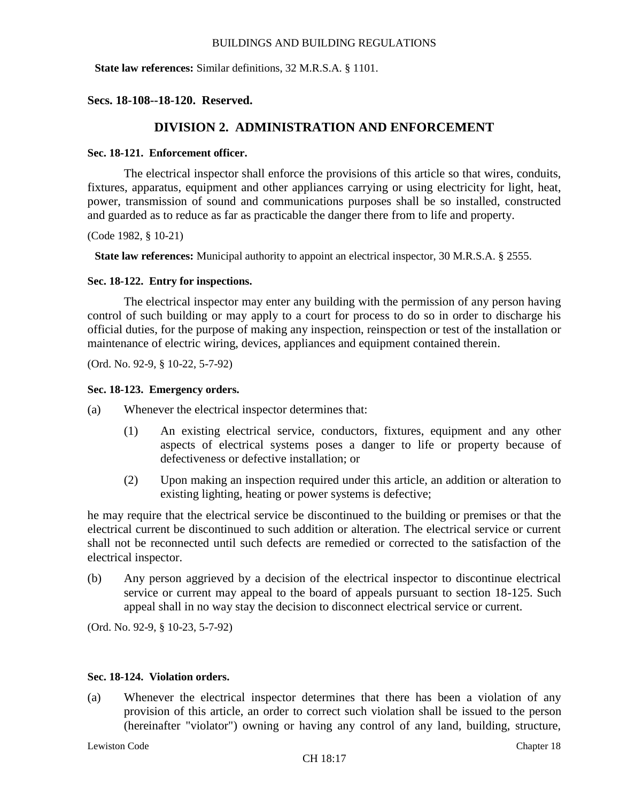**State law references:** Similar definitions, 32 M.R.S.A. § 1101.

**Secs. 18-108--18-120. Reserved.**

# **DIVISION 2. ADMINISTRATION AND ENFORCEMENT**

# **Sec. 18-121. Enforcement officer.**

The electrical inspector shall enforce the provisions of this article so that wires, conduits, fixtures, apparatus, equipment and other appliances carrying or using electricity for light, heat, power, transmission of sound and communications purposes shall be so installed, constructed and guarded as to reduce as far as practicable the danger there from to life and property.

(Code 1982, § 10-21)

**State law references:** Municipal authority to appoint an electrical inspector, 30 M.R.S.A. § 2555.

# **Sec. 18-122. Entry for inspections.**

The electrical inspector may enter any building with the permission of any person having control of such building or may apply to a court for process to do so in order to discharge his official duties, for the purpose of making any inspection, reinspection or test of the installation or maintenance of electric wiring, devices, appliances and equipment contained therein.

(Ord. No. 92-9, § 10-22, 5-7-92)

# **Sec. 18-123. Emergency orders.**

- (a) Whenever the electrical inspector determines that:
	- (1) An existing electrical service, conductors, fixtures, equipment and any other aspects of electrical systems poses a danger to life or property because of defectiveness or defective installation; or
	- (2) Upon making an inspection required under this article, an addition or alteration to existing lighting, heating or power systems is defective;

he may require that the electrical service be discontinued to the building or premises or that the electrical current be discontinued to such addition or alteration. The electrical service or current shall not be reconnected until such defects are remedied or corrected to the satisfaction of the electrical inspector.

(b) Any person aggrieved by a decision of the electrical inspector to discontinue electrical service or current may appeal to the board of appeals pursuant to section 18-125. Such appeal shall in no way stay the decision to disconnect electrical service or current.

(Ord. No. 92-9, § 10-23, 5-7-92)

#### **Sec. 18-124. Violation orders.**

(a) Whenever the electrical inspector determines that there has been a violation of any provision of this article, an order to correct such violation shall be issued to the person (hereinafter "violator") owning or having any control of any land, building, structure,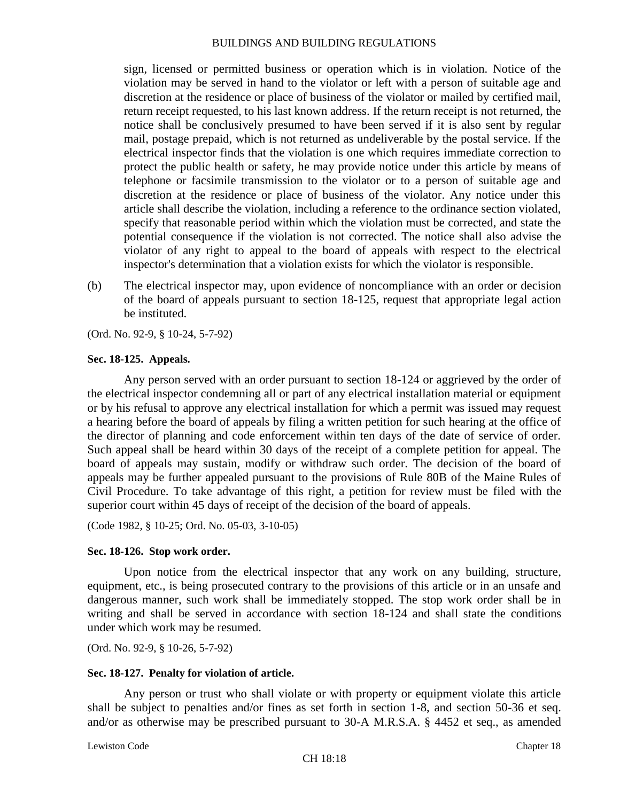sign, licensed or permitted business or operation which is in violation. Notice of the violation may be served in hand to the violator or left with a person of suitable age and discretion at the residence or place of business of the violator or mailed by certified mail, return receipt requested, to his last known address. If the return receipt is not returned, the notice shall be conclusively presumed to have been served if it is also sent by regular mail, postage prepaid, which is not returned as undeliverable by the postal service. If the electrical inspector finds that the violation is one which requires immediate correction to protect the public health or safety, he may provide notice under this article by means of telephone or facsimile transmission to the violator or to a person of suitable age and discretion at the residence or place of business of the violator. Any notice under this article shall describe the violation, including a reference to the ordinance section violated, specify that reasonable period within which the violation must be corrected, and state the potential consequence if the violation is not corrected. The notice shall also advise the violator of any right to appeal to the board of appeals with respect to the electrical inspector's determination that a violation exists for which the violator is responsible.

(b) The electrical inspector may, upon evidence of noncompliance with an order or decision of the board of appeals pursuant to section 18-125, request that appropriate legal action be instituted.

(Ord. No. 92-9, § 10-24, 5-7-92)

#### **Sec. 18-125. Appeals.**

Any person served with an order pursuant to section 18-124 or aggrieved by the order of the electrical inspector condemning all or part of any electrical installation material or equipment or by his refusal to approve any electrical installation for which a permit was issued may request a hearing before the board of appeals by filing a written petition for such hearing at the office of the director of planning and code enforcement within ten days of the date of service of order. Such appeal shall be heard within 30 days of the receipt of a complete petition for appeal. The board of appeals may sustain, modify or withdraw such order. The decision of the board of appeals may be further appealed pursuant to the provisions of Rule 80B of the Maine Rules of Civil Procedure. To take advantage of this right, a petition for review must be filed with the superior court within 45 days of receipt of the decision of the board of appeals.

(Code 1982, § 10-25; Ord. No. 05-03, 3-10-05)

#### **Sec. 18-126. Stop work order.**

Upon notice from the electrical inspector that any work on any building, structure, equipment, etc., is being prosecuted contrary to the provisions of this article or in an unsafe and dangerous manner, such work shall be immediately stopped. The stop work order shall be in writing and shall be served in accordance with section 18-124 and shall state the conditions under which work may be resumed.

(Ord. No. 92-9, § 10-26, 5-7-92)

#### **Sec. 18-127. Penalty for violation of article.**

Any person or trust who shall violate or with property or equipment violate this article shall be subject to penalties and/or fines as set forth in section 1-8, and section 50-36 et seq. and/or as otherwise may be prescribed pursuant to 30-A M.R.S.A. § 4452 et seq., as amended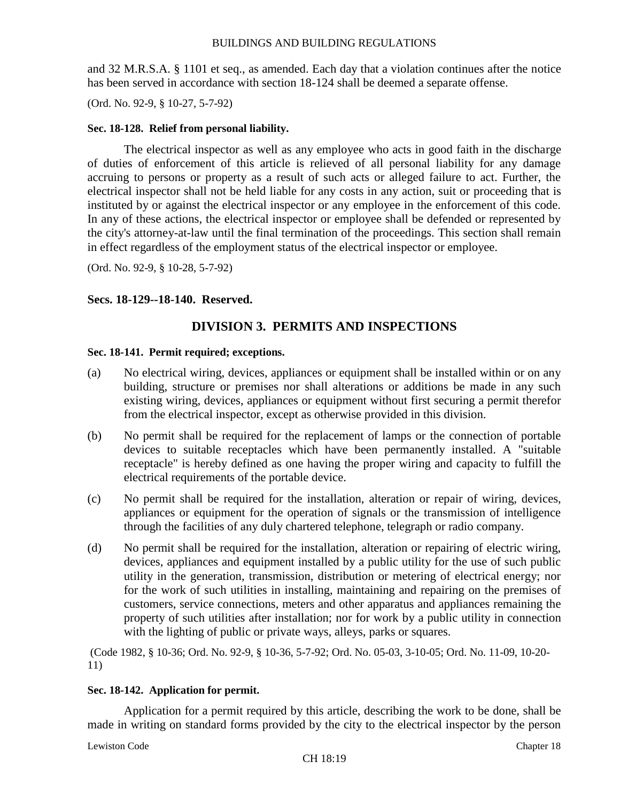and 32 M.R.S.A. § 1101 et seq., as amended. Each day that a violation continues after the notice has been served in accordance with section 18-124 shall be deemed a separate offense.

(Ord. No. 92-9, § 10-27, 5-7-92)

# **Sec. 18-128. Relief from personal liability.**

The electrical inspector as well as any employee who acts in good faith in the discharge of duties of enforcement of this article is relieved of all personal liability for any damage accruing to persons or property as a result of such acts or alleged failure to act. Further, the electrical inspector shall not be held liable for any costs in any action, suit or proceeding that is instituted by or against the electrical inspector or any employee in the enforcement of this code. In any of these actions, the electrical inspector or employee shall be defended or represented by the city's attorney-at-law until the final termination of the proceedings. This section shall remain in effect regardless of the employment status of the electrical inspector or employee.

(Ord. No. 92-9, § 10-28, 5-7-92)

# **Secs. 18-129--18-140. Reserved.**

# **DIVISION 3. PERMITS AND INSPECTIONS**

# **Sec. 18-141. Permit required; exceptions.**

- (a) No electrical wiring, devices, appliances or equipment shall be installed within or on any building, structure or premises nor shall alterations or additions be made in any such existing wiring, devices, appliances or equipment without first securing a permit therefor from the electrical inspector, except as otherwise provided in this division.
- (b) No permit shall be required for the replacement of lamps or the connection of portable devices to suitable receptacles which have been permanently installed. A "suitable receptacle" is hereby defined as one having the proper wiring and capacity to fulfill the electrical requirements of the portable device.
- (c) No permit shall be required for the installation, alteration or repair of wiring, devices, appliances or equipment for the operation of signals or the transmission of intelligence through the facilities of any duly chartered telephone, telegraph or radio company.
- (d) No permit shall be required for the installation, alteration or repairing of electric wiring, devices, appliances and equipment installed by a public utility for the use of such public utility in the generation, transmission, distribution or metering of electrical energy; nor for the work of such utilities in installing, maintaining and repairing on the premises of customers, service connections, meters and other apparatus and appliances remaining the property of such utilities after installation; nor for work by a public utility in connection with the lighting of public or private ways, alleys, parks or squares.

(Code 1982, § 10-36; Ord. No. 92-9, § 10-36, 5-7-92; Ord. No. 05-03, 3-10-05; Ord. No. 11-09, 10-20- 11)

# **Sec. 18-142. Application for permit.**

Application for a permit required by this article, describing the work to be done, shall be made in writing on standard forms provided by the city to the electrical inspector by the person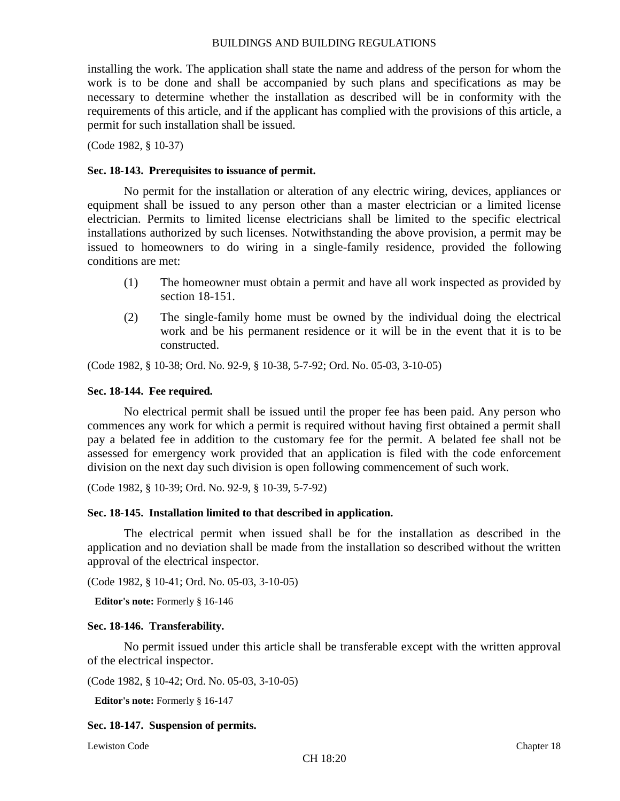installing the work. The application shall state the name and address of the person for whom the work is to be done and shall be accompanied by such plans and specifications as may be necessary to determine whether the installation as described will be in conformity with the requirements of this article, and if the applicant has complied with the provisions of this article, a permit for such installation shall be issued.

(Code 1982, § 10-37)

#### **Sec. 18-143. Prerequisites to issuance of permit.**

No permit for the installation or alteration of any electric wiring, devices, appliances or equipment shall be issued to any person other than a master electrician or a limited license electrician. Permits to limited license electricians shall be limited to the specific electrical installations authorized by such licenses. Notwithstanding the above provision, a permit may be issued to homeowners to do wiring in a single-family residence, provided the following conditions are met:

- (1) The homeowner must obtain a permit and have all work inspected as provided by section 18-151.
- (2) The single-family home must be owned by the individual doing the electrical work and be his permanent residence or it will be in the event that it is to be constructed.

(Code 1982, § 10-38; Ord. No. 92-9, § 10-38, 5-7-92; Ord. No. 05-03, 3-10-05)

#### **Sec. 18-144. Fee required.**

No electrical permit shall be issued until the proper fee has been paid. Any person who commences any work for which a permit is required without having first obtained a permit shall pay a belated fee in addition to the customary fee for the permit. A belated fee shall not be assessed for emergency work provided that an application is filed with the code enforcement division on the next day such division is open following commencement of such work.

(Code 1982, § 10-39; Ord. No. 92-9, § 10-39, 5-7-92)

#### **Sec. 18-145. Installation limited to that described in application.**

The electrical permit when issued shall be for the installation as described in the application and no deviation shall be made from the installation so described without the written approval of the electrical inspector.

(Code 1982, § 10-41; Ord. No. 05-03, 3-10-05)

**Editor's note:** Formerly § 16-146

#### **Sec. 18-146. Transferability.**

No permit issued under this article shall be transferable except with the written approval of the electrical inspector.

```
(Code 1982, § 10-42; Ord. No. 05-03, 3-10-05)
```
**Editor's note:** Formerly § 16-147

#### **Sec. 18-147. Suspension of permits.**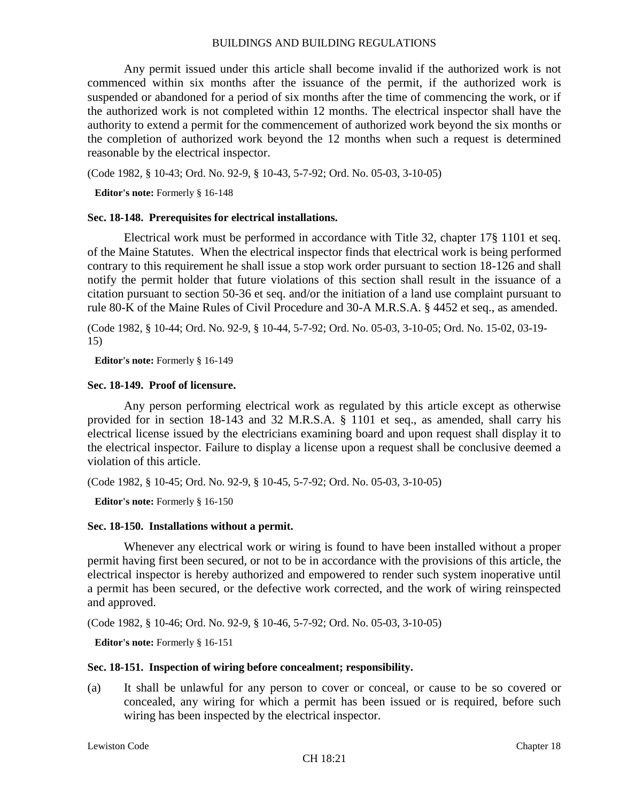Any permit issued under this article shall become invalid if the authorized work is not commenced within six months after the issuance of the permit, if the authorized work is suspended or abandoned for a period of six months after the time of commencing the work, or if the authorized work is not completed within 12 months. The electrical inspector shall have the authority to extend a permit for the commencement of authorized work beyond the six months or the completion of authorized work beyond the 12 months when such a request is determined reasonable by the electrical inspector.

(Code 1982, § 10-43; Ord. No. 92-9, § 10-43, 5-7-92; Ord. No. 05-03, 3-10-05)

**Editor's note:** Formerly § 16-148

#### **Sec. 18-148. Prerequisites for electrical installations.**

Electrical work must be performed in accordance with Title 32, chapter 17§ 1101 et seq. of the Maine Statutes. When the electrical inspector finds that electrical work is being performed contrary to this requirement he shall issue a stop work order pursuant to section 18-126 and shall notify the permit holder that future violations of this section shall result in the issuance of a citation pursuant to section 50-36 et seq. and/or the initiation of a land use complaint pursuant to rule 80-K of the Maine Rules of Civil Procedure and 30-A M.R.S.A. § 4452 et seq., as amended.

(Code 1982, § 10-44; Ord. No. 92-9, § 10-44, 5-7-92; Ord. No. 05-03, 3-10-05; Ord. No. 15-02, 03-19- 15)

**Editor's note:** Formerly § 16-149

#### **Sec. 18-149. Proof of licensure.**

Any person performing electrical work as regulated by this article except as otherwise provided for in section 18-143 and 32 M.R.S.A. § 1101 et seq., as amended, shall carry his electrical license issued by the electricians examining board and upon request shall display it to the electrical inspector. Failure to display a license upon a request shall be conclusive deemed a violation of this article.

(Code 1982, § 10-45; Ord. No. 92-9, § 10-45, 5-7-92; Ord. No. 05-03, 3-10-05)

**Editor's note:** Formerly § 16-150

#### **Sec. 18-150. Installations without a permit.**

Whenever any electrical work or wiring is found to have been installed without a proper permit having first been secured, or not to be in accordance with the provisions of this article, the electrical inspector is hereby authorized and empowered to render such system inoperative until a permit has been secured, or the defective work corrected, and the work of wiring reinspected and approved.

(Code 1982, § 10-46; Ord. No. 92-9, § 10-46, 5-7-92; Ord. No. 05-03, 3-10-05)

**Editor's note:** Formerly § 16-151

#### **Sec. 18-151. Inspection of wiring before concealment; responsibility.**

(a) It shall be unlawful for any person to cover or conceal, or cause to be so covered or concealed, any wiring for which a permit has been issued or is required, before such wiring has been inspected by the electrical inspector.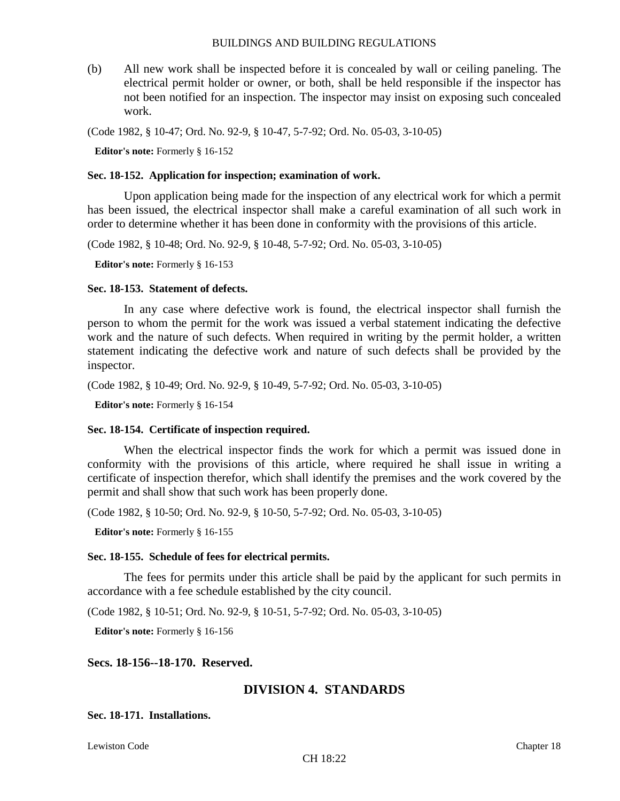(b) All new work shall be inspected before it is concealed by wall or ceiling paneling. The electrical permit holder or owner, or both, shall be held responsible if the inspector has not been notified for an inspection. The inspector may insist on exposing such concealed work.

(Code 1982, § 10-47; Ord. No. 92-9, § 10-47, 5-7-92; Ord. No. 05-03, 3-10-05)

**Editor's note:** Formerly § 16-152

#### **Sec. 18-152. Application for inspection; examination of work.**

Upon application being made for the inspection of any electrical work for which a permit has been issued, the electrical inspector shall make a careful examination of all such work in order to determine whether it has been done in conformity with the provisions of this article.

(Code 1982, § 10-48; Ord. No. 92-9, § 10-48, 5-7-92; Ord. No. 05-03, 3-10-05)

**Editor's note:** Formerly § 16-153

#### **Sec. 18-153. Statement of defects.**

In any case where defective work is found, the electrical inspector shall furnish the person to whom the permit for the work was issued a verbal statement indicating the defective work and the nature of such defects. When required in writing by the permit holder, a written statement indicating the defective work and nature of such defects shall be provided by the inspector.

(Code 1982, § 10-49; Ord. No. 92-9, § 10-49, 5-7-92; Ord. No. 05-03, 3-10-05)

**Editor's note:** Formerly § 16-154

#### **Sec. 18-154. Certificate of inspection required.**

When the electrical inspector finds the work for which a permit was issued done in conformity with the provisions of this article, where required he shall issue in writing a certificate of inspection therefor, which shall identify the premises and the work covered by the permit and shall show that such work has been properly done.

(Code 1982, § 10-50; Ord. No. 92-9, § 10-50, 5-7-92; Ord. No. 05-03, 3-10-05)

**Editor's note:** Formerly § 16-155

#### **Sec. 18-155. Schedule of fees for electrical permits.**

The fees for permits under this article shall be paid by the applicant for such permits in accordance with a fee schedule established by the city council.

(Code 1982, § 10-51; Ord. No. 92-9, § 10-51, 5-7-92; Ord. No. 05-03, 3-10-05)

**Editor's note:** Formerly § 16-156

#### **Secs. 18-156--18-170. Reserved.**

# **DIVISION 4. STANDARDS**

**Sec. 18-171. Installations.**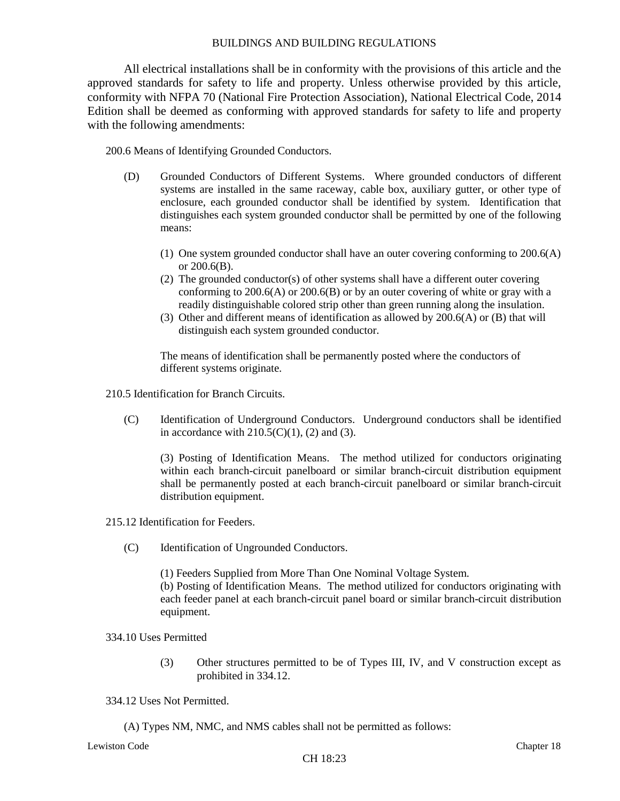All electrical installations shall be in conformity with the provisions of this article and the approved standards for safety to life and property. Unless otherwise provided by this article, conformity with NFPA 70 (National Fire Protection Association), National Electrical Code, 2014 Edition shall be deemed as conforming with approved standards for safety to life and property with the following amendments:

200.6 Means of Identifying Grounded Conductors.

- (D) Grounded Conductors of Different Systems. Where grounded conductors of different systems are installed in the same raceway, cable box, auxiliary gutter, or other type of enclosure, each grounded conductor shall be identified by system. Identification that distinguishes each system grounded conductor shall be permitted by one of the following means:
	- (1) One system grounded conductor shall have an outer covering conforming to 200.6(A) or 200.6(B).
	- (2) The grounded conductor(s) of other systems shall have a different outer covering conforming to 200.6(A) or 200.6(B) or by an outer covering of white or gray with a readily distinguishable colored strip other than green running along the insulation.
	- (3) Other and different means of identification as allowed by 200.6(A) or (B) that will distinguish each system grounded conductor.

The means of identification shall be permanently posted where the conductors of different systems originate.

- 210.5 Identification for Branch Circuits.
	- (C) Identification of Underground Conductors. Underground conductors shall be identified in accordance with  $210.5(C)(1)$ , (2) and (3).

(3) Posting of Identification Means. The method utilized for conductors originating within each branch-circuit panelboard or similar branch-circuit distribution equipment shall be permanently posted at each branch-circuit panelboard or similar branch-circuit distribution equipment.

215.12 Identification for Feeders.

(C) Identification of Ungrounded Conductors.

(1) Feeders Supplied from More Than One Nominal Voltage System.

(b) Posting of Identification Means. The method utilized for conductors originating with each feeder panel at each branch-circuit panel board or similar branch-circuit distribution equipment.

- 334.10 Uses Permitted
	- (3) Other structures permitted to be of Types III, IV, and V construction except as prohibited in 334.12.
- 334.12 Uses Not Permitted.
	- (A) Types NM, NMC, and NMS cables shall not be permitted as follows: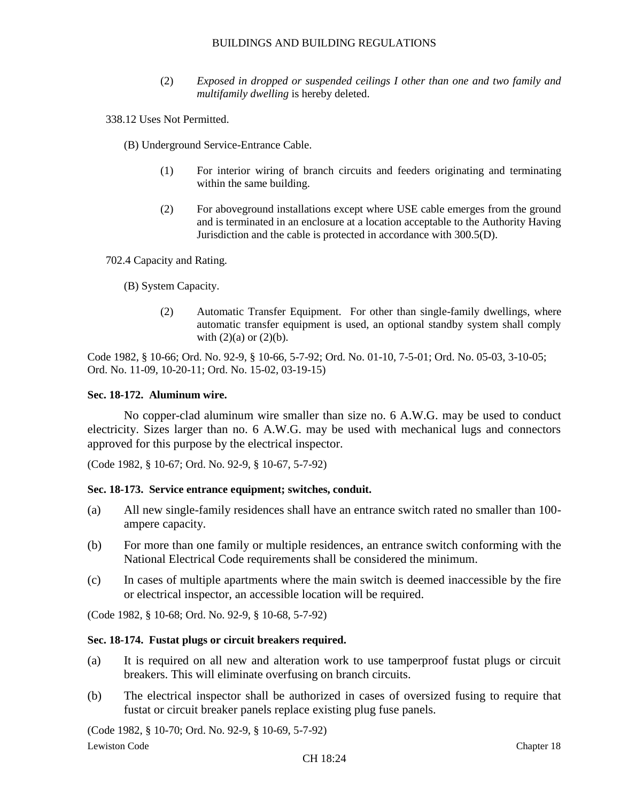- (2) *Exposed in dropped or suspended ceilings I other than one and two family and multifamily dwelling* is hereby deleted.
- 338.12 Uses Not Permitted.
	- (B) Underground Service-Entrance Cable.
		- (1) For interior wiring of branch circuits and feeders originating and terminating within the same building.
		- (2) For aboveground installations except where USE cable emerges from the ground and is terminated in an enclosure at a location acceptable to the Authority Having Jurisdiction and the cable is protected in accordance with 300.5(D).

702.4 Capacity and Rating.

(B) System Capacity.

(2) Automatic Transfer Equipment. For other than single-family dwellings, where automatic transfer equipment is used, an optional standby system shall comply with  $(2)(a)$  or  $(2)(b)$ .

Code 1982, § 10-66; Ord. No. 92-9, § 10-66, 5-7-92; Ord. No. 01-10, 7-5-01; Ord. No. 05-03, 3-10-05; Ord. No. 11-09, 10-20-11; Ord. No. 15-02, 03-19-15)

#### **Sec. 18-172. Aluminum wire.**

No copper-clad aluminum wire smaller than size no. 6 A.W.G. may be used to conduct electricity. Sizes larger than no. 6 A.W.G. may be used with mechanical lugs and connectors approved for this purpose by the electrical inspector.

(Code 1982, § 10-67; Ord. No. 92-9, § 10-67, 5-7-92)

#### **Sec. 18-173. Service entrance equipment; switches, conduit.**

- (a) All new single-family residences shall have an entrance switch rated no smaller than 100 ampere capacity.
- (b) For more than one family or multiple residences, an entrance switch conforming with the National Electrical Code requirements shall be considered the minimum.
- (c) In cases of multiple apartments where the main switch is deemed inaccessible by the fire or electrical inspector, an accessible location will be required.

(Code 1982, § 10-68; Ord. No. 92-9, § 10-68, 5-7-92)

#### **Sec. 18-174. Fustat plugs or circuit breakers required.**

- (a) It is required on all new and alteration work to use tamperproof fustat plugs or circuit breakers. This will eliminate overfusing on branch circuits.
- (b) The electrical inspector shall be authorized in cases of oversized fusing to require that fustat or circuit breaker panels replace existing plug fuse panels.

(Code 1982, § 10-70; Ord. No. 92-9, § 10-69, 5-7-92)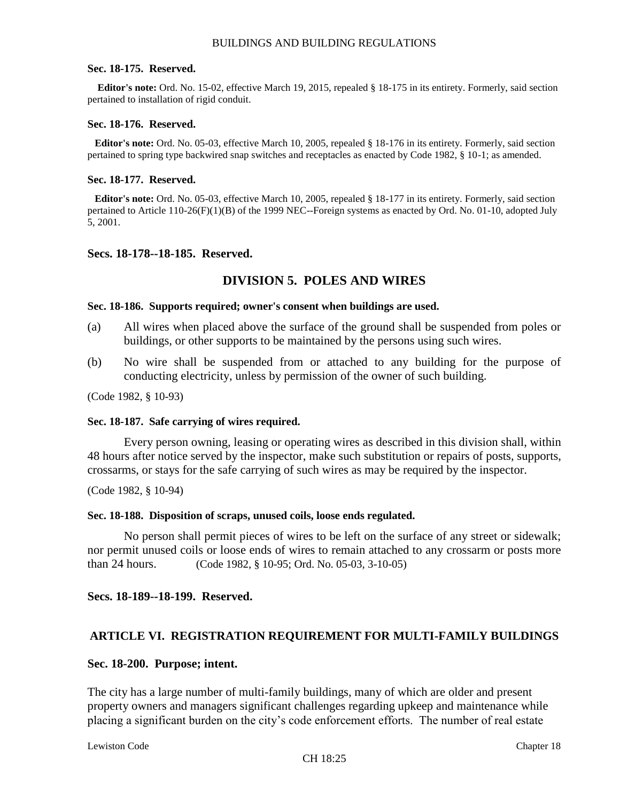#### **Sec. 18-175. Reserved.**

**Editor's note:** Ord. No. 15-02, effective March 19, 2015, repealed § 18-175 in its entirety. Formerly, said section pertained to installation of rigid conduit.

#### **Sec. 18-176. Reserved.**

**Editor's note:** Ord. No. 05-03, effective March 10, 2005, repealed § 18-176 in its entirety. Formerly, said section pertained to spring type backwired snap switches and receptacles as enacted by Code 1982, § 10-1; as amended.

#### **Sec. 18-177. Reserved.**

**Editor's note:** Ord. No. 05-03, effective March 10, 2005, repealed § 18-177 in its entirety. Formerly, said section pertained to Article 110-26(F)(1)(B) of the 1999 NEC--Foreign systems as enacted by Ord. No. 01-10, adopted July 5, 2001.

#### **Secs. 18-178--18-185. Reserved.**

# **DIVISION 5. POLES AND WIRES**

#### **Sec. 18-186. Supports required; owner's consent when buildings are used.**

- (a) All wires when placed above the surface of the ground shall be suspended from poles or buildings, or other supports to be maintained by the persons using such wires.
- (b) No wire shall be suspended from or attached to any building for the purpose of conducting electricity, unless by permission of the owner of such building.

(Code 1982, § 10-93)

#### **Sec. 18-187. Safe carrying of wires required.**

Every person owning, leasing or operating wires as described in this division shall, within 48 hours after notice served by the inspector, make such substitution or repairs of posts, supports, crossarms, or stays for the safe carrying of such wires as may be required by the inspector.

(Code 1982, § 10-94)

#### **Sec. 18-188. Disposition of scraps, unused coils, loose ends regulated.**

No person shall permit pieces of wires to be left on the surface of any street or sidewalk; nor permit unused coils or loose ends of wires to remain attached to any crossarm or posts more than 24 hours. (Code 1982, § 10-95; Ord. No. 05-03, 3-10-05)

**Secs. 18-189--18-199. Reserved.**

#### **ARTICLE VI. REGISTRATION REQUIREMENT FOR MULTI-FAMILY BUILDINGS**

#### **Sec. 18-200. Purpose; intent.**

The city has a large number of multi-family buildings, many of which are older and present property owners and managers significant challenges regarding upkeep and maintenance while placing a significant burden on the city's code enforcement efforts. The number of real estate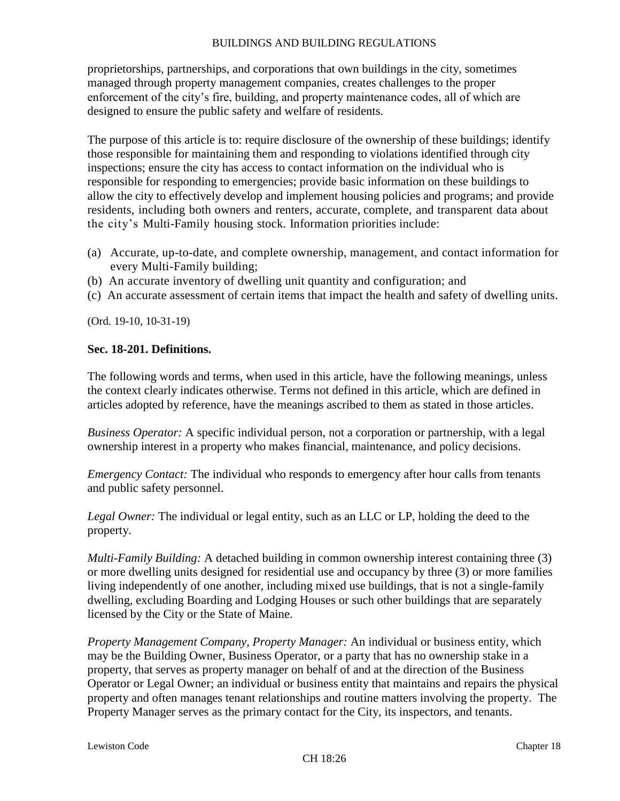proprietorships, partnerships, and corporations that own buildings in the city, sometimes managed through property management companies, creates challenges to the proper enforcement of the city's fire, building, and property maintenance codes, all of which are designed to ensure the public safety and welfare of residents.

The purpose of this article is to: require disclosure of the ownership of these buildings; identify those responsible for maintaining them and responding to violations identified through city inspections; ensure the city has access to contact information on the individual who is responsible for responding to emergencies; provide basic information on these buildings to allow the city to effectively develop and implement housing policies and programs; and provide residents, including both owners and renters, accurate, complete, and transparent data about the city's Multi-Family housing stock. Information priorities include:

- (a) Accurate, up-to-date, and complete ownership, management, and contact information for every Multi-Family building;
- (b) An accurate inventory of dwelling unit quantity and configuration; and
- (c) An accurate assessment of certain items that impact the health and safety of dwelling units.

(Ord. 19-10, 10-31-19)

# **Sec. 18-201. Definitions.**

The following words and terms, when used in this article, have the following meanings, unless the context clearly indicates otherwise. Terms not defined in this article, which are defined in articles adopted by reference, have the meanings ascribed to them as stated in those articles.

*Business Operator:* A specific individual person, not a corporation or partnership, with a legal ownership interest in a property who makes financial, maintenance, and policy decisions.

*Emergency Contact:* The individual who responds to emergency after hour calls from tenants and public safety personnel.

*Legal Owner:* The individual or legal entity, such as an LLC or LP, holding the deed to the property.

*Multi-Family Building:* A detached building in common ownership interest containing three (3) or more dwelling units designed for residential use and occupancy by three (3) or more families living independently of one another, including mixed use buildings, that is not a single-family dwelling, excluding Boarding and Lodging Houses or such other buildings that are separately licensed by the City or the State of Maine.

*Property Management Company, Property Manager:* An individual or business entity, which may be the Building Owner, Business Operator, or a party that has no ownership stake in a property, that serves as property manager on behalf of and at the direction of the Business Operator or Legal Owner; an individual or business entity that maintains and repairs the physical property and often manages tenant relationships and routine matters involving the property. The Property Manager serves as the primary contact for the City, its inspectors, and tenants.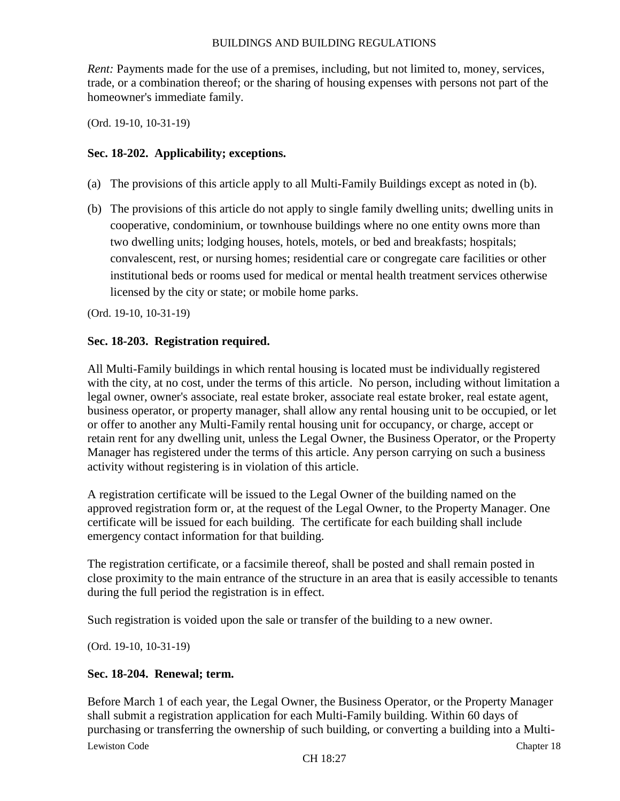*Rent:* Payments made for the use of a premises, including, but not limited to, money, services, trade, or a combination thereof; or the sharing of housing expenses with persons not part of the homeowner's immediate family.

(Ord. 19-10, 10-31-19)

# **Sec. 18-202. Applicability; exceptions.**

- (a) The provisions of this article apply to all Multi-Family Buildings except as noted in (b).
- (b) The provisions of this article do not apply to single family dwelling units; dwelling units in cooperative, condominium, or townhouse buildings where no one entity owns more than two dwelling units; lodging houses, hotels, motels, or bed and breakfasts; hospitals; convalescent, rest, or nursing homes; residential care or congregate care facilities or other institutional beds or rooms used for medical or mental health treatment services otherwise licensed by the city or state; or mobile home parks.

(Ord. 19-10, 10-31-19)

# **Sec. 18-203. Registration required.**

All Multi-Family buildings in which rental housing is located must be individually registered with the city, at no cost, under the terms of this article. No person, including without limitation a legal owner, owner's associate, real estate broker, associate real estate broker, real estate agent, business operator, or property manager, shall allow any rental housing unit to be occupied, or let or offer to another any Multi-Family rental housing unit for occupancy, or charge, accept or retain rent for any dwelling unit, unless the Legal Owner, the Business Operator, or the Property Manager has registered under the terms of this article. Any person carrying on such a business activity without registering is in violation of this article.

A registration certificate will be issued to the Legal Owner of the building named on the approved registration form or, at the request of the Legal Owner, to the Property Manager. One certificate will be issued for each building. The certificate for each building shall include emergency contact information for that building.

The registration certificate, or a facsimile thereof, shall be posted and shall remain posted in close proximity to the main entrance of the structure in an area that is easily accessible to tenants during the full period the registration is in effect.

Such registration is voided upon the sale or transfer of the building to a new owner.

(Ord. 19-10, 10-31-19)

# **Sec. 18-204. Renewal; term.**

Lewiston Code Chapter 18 Chapter 18 Chapter 18 Chapter 18 Chapter 18 Chapter 18 Chapter 18 Chapter 18 Chapter 18 Before March 1 of each year, the Legal Owner, the Business Operator, or the Property Manager shall submit a registration application for each Multi-Family building. Within 60 days of purchasing or transferring the ownership of such building, or converting a building into a Multi-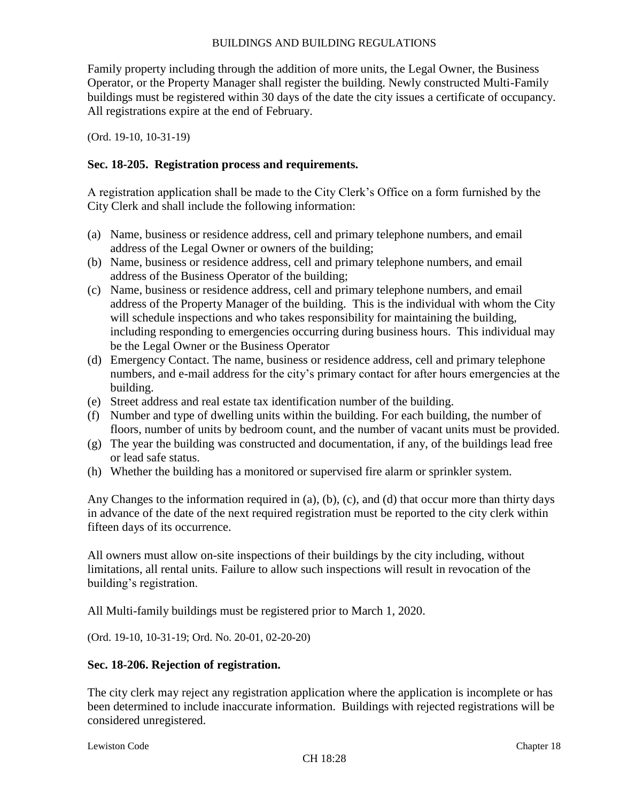Family property including through the addition of more units, the Legal Owner, the Business Operator, or the Property Manager shall register the building. Newly constructed Multi-Family buildings must be registered within 30 days of the date the city issues a certificate of occupancy. All registrations expire at the end of February.

(Ord. 19-10, 10-31-19)

# **Sec. 18-205. Registration process and requirements.**

A registration application shall be made to the City Clerk's Office on a form furnished by the City Clerk and shall include the following information:

- (a) Name, business or residence address, cell and primary telephone numbers, and email address of the Legal Owner or owners of the building;
- (b) Name, business or residence address, cell and primary telephone numbers, and email address of the Business Operator of the building;
- (c) Name, business or residence address, cell and primary telephone numbers, and email address of the Property Manager of the building. This is the individual with whom the City will schedule inspections and who takes responsibility for maintaining the building, including responding to emergencies occurring during business hours. This individual may be the Legal Owner or the Business Operator
- (d) Emergency Contact. The name, business or residence address, cell and primary telephone numbers, and e-mail address for the city's primary contact for after hours emergencies at the building.
- (e) Street address and real estate tax identification number of the building.
- (f) Number and type of dwelling units within the building. For each building, the number of floors, number of units by bedroom count, and the number of vacant units must be provided.
- (g) The year the building was constructed and documentation, if any, of the buildings lead free or lead safe status.
- (h) Whether the building has a monitored or supervised fire alarm or sprinkler system.

Any Changes to the information required in (a), (b), (c), and (d) that occur more than thirty days in advance of the date of the next required registration must be reported to the city clerk within fifteen days of its occurrence.

All owners must allow on-site inspections of their buildings by the city including, without limitations, all rental units. Failure to allow such inspections will result in revocation of the building's registration.

All Multi-family buildings must be registered prior to March 1, 2020.

(Ord. 19-10, 10-31-19; Ord. No. 20-01, 02-20-20)

# **Sec. 18-206. Rejection of registration.**

The city clerk may reject any registration application where the application is incomplete or has been determined to include inaccurate information. Buildings with rejected registrations will be considered unregistered.